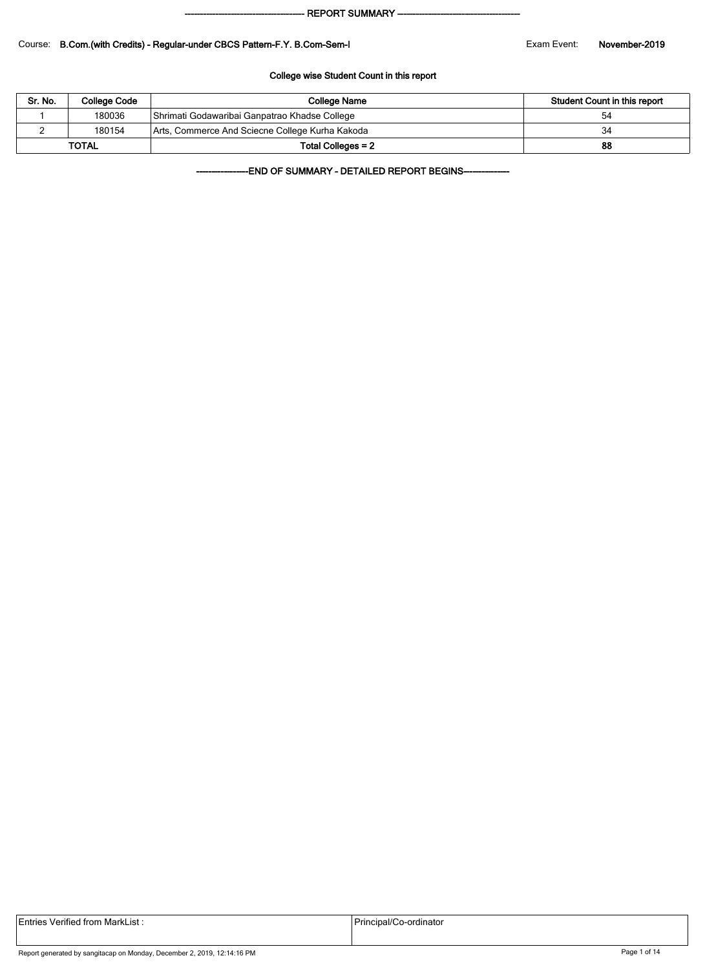#### - REPORT SUMMARY --

#### Course: B.Com.(with Credits) - Regular-under CBCS Pattern-F.Y. B.Com-Sem-I Exam Exam Event: November-2019

#### College wise Student Count in this report

| Sr. No. | College Code | College Name                                    | Student Count in this report |
|---------|--------------|-------------------------------------------------|------------------------------|
|         | 180036       | Shrimati Godawaribai Ganpatrao Khadse College   | 54                           |
|         | 180154       | Arts, Commerce And Sciecne College Kurha Kakoda | 34                           |
|         | <b>TOTAL</b> | Total Colleges = 2                              | 88                           |

-END OF SUMMARY - DETAILED REPORT BEGINS-

| <b>Entries Verified from MarkList:</b> | Principal/Co-ordinator |
|----------------------------------------|------------------------|
|                                        |                        |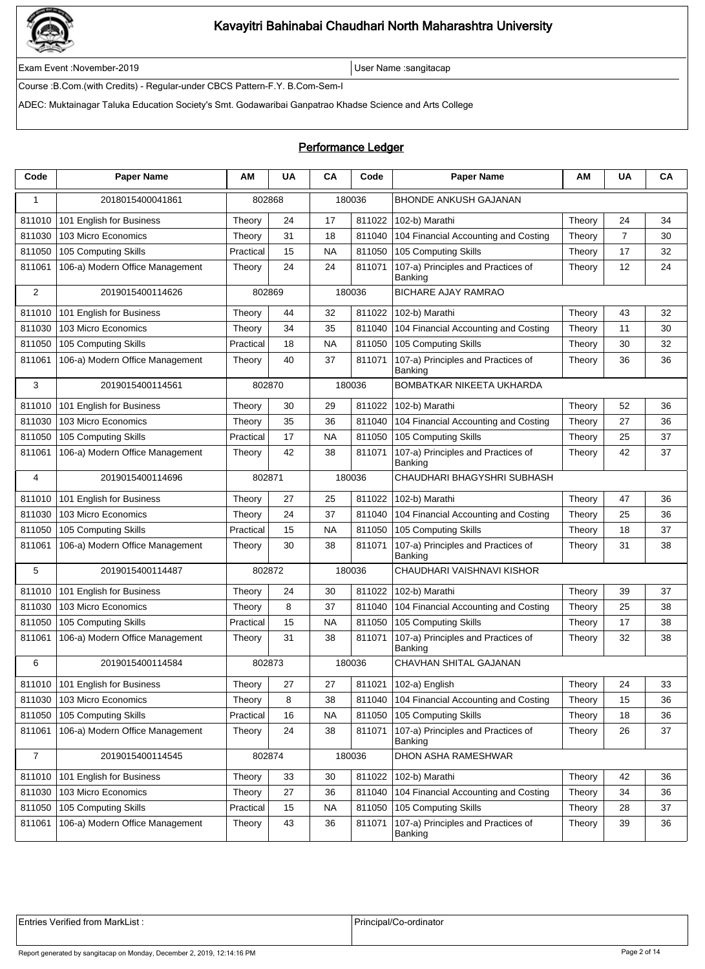

Exam Event :November-2019 User Name :sangitacap

Course :B.Com.(with Credits) - Regular-under CBCS Pattern-F.Y. B.Com-Sem-I

ADEC: Muktainagar Taluka Education Society's Smt. Godawaribai Ganpatrao Khadse Science and Arts College

### Performance Ledger

| Code           | <b>Paper Name</b>                 | ΑМ        | <b>UA</b> | CA                                    | Code   | <b>Paper Name</b>                             | АΜ     | <b>UA</b> | CA |
|----------------|-----------------------------------|-----------|-----------|---------------------------------------|--------|-----------------------------------------------|--------|-----------|----|
| 1              | 2018015400041861                  | 802868    |           |                                       | 180036 | BHONDE ANKUSH GAJANAN                         |        |           |    |
| 811010         | 101 English for Business          | Theory    | 24        | 17                                    | 811022 | 102-b) Marathi                                | Theory | 24        | 34 |
| 811030         | 103 Micro Economics               | Theory    | 31        | 18                                    | 811040 | 104 Financial Accounting and Costing          | Theory | 7         | 30 |
| 811050         | 105 Computing Skills              | Practical | 15        | <b>NA</b>                             | 811050 | 105 Computing Skills                          | Theory | 17        | 32 |
| 811061         | 106-a) Modern Office Management   | Theory    | 24        | 24                                    | 811071 | 107-a) Principles and Practices of<br>Banking | Theory | 12        | 24 |
| 2              | 2019015400114626                  | 802869    |           |                                       | 180036 | <b>BICHARE AJAY RAMRAO</b>                    |        |           |    |
| 811010         | 101 English for Business          | Theory    | 44        | 32                                    | 811022 | 102-b) Marathi                                | Theory | 43        | 32 |
| 811030         | 103 Micro Economics               | Theory    | 34        | 35                                    | 811040 | 104 Financial Accounting and Costing          | Theory | 11        | 30 |
| 811050         | 105 Computing Skills              | Practical | 18        | <b>NA</b>                             | 811050 | 105 Computing Skills                          | Theory | 30        | 32 |
| 811061         | 106-a) Modern Office Management   | Theory    | 40        | 37                                    | 811071 | 107-a) Principles and Practices of<br>Banking | Theory | 36        | 36 |
| 3              | 2019015400114561                  | 802870    |           |                                       | 180036 | BOMBATKAR NIKEETA UKHARDA                     |        |           |    |
| 811010         | 101 English for Business          | Theory    | 30        | 29                                    | 811022 | 102-b) Marathi                                | Theory | 52        | 36 |
| 811030         | 103 Micro Economics               | Theory    | 35        | 36                                    | 811040 | 104 Financial Accounting and Costing          | Theory | 27        | 36 |
| 811050         | 105 Computing Skills              | Practical | 17        | <b>NA</b>                             | 811050 | 105 Computing Skills                          | Theory | 25        | 37 |
| 811061         | 106-a) Modern Office Management   | Theory    | 42        | 38                                    | 811071 | 107-a) Principles and Practices of<br>Banking | Theory | 42        | 37 |
| 4              | 2019015400114696                  | 802871    |           | CHAUDHARI BHAGYSHRI SUBHASH<br>180036 |        |                                               |        |           |    |
| 811010         | 101 English for Business          | Theory    | 27        | 25                                    | 811022 | 102-b) Marathi                                | Theory | 47        | 36 |
| 811030         | 103 Micro Economics               | Theory    | 24        | 37                                    | 811040 | 104 Financial Accounting and Costing          | Theory | 25        | 36 |
| 811050         | 105 Computing Skills              | Practical | 15        | <b>NA</b>                             | 811050 | 105 Computing Skills                          | Theory | 18        | 37 |
| 811061         | 106-a) Modern Office Management   | Theory    | 30        | 38                                    | 811071 | 107-a) Principles and Practices of<br>Banking | Theory | 31        | 38 |
| 5              | 2019015400114487                  | 802872    |           |                                       | 180036 | CHAUDHARI VAISHNAVI KISHOR                    |        |           |    |
| 811010         | 101 English for Business          | Theory    | 24        | 30                                    | 811022 | 102-b) Marathi                                | Theory | 39        | 37 |
| 811030         | 103 Micro Economics               | Theory    | 8         | 37                                    | 811040 | 104 Financial Accounting and Costing          | Theory | 25        | 38 |
| 811050         | 105 Computing Skills              | Practical | 15        | <b>NA</b>                             | 811050 | 105 Computing Skills                          | Theory | 17        | 38 |
| 811061         | 106-a) Modern Office Management   | Theory    | 31        | 38                                    | 811071 | 107-a) Principles and Practices of<br>Banking | Theory | 32        | 38 |
| 6              | 2019015400114584                  | 802873    |           |                                       | 180036 | <b>CHAVHAN SHITAL GAJANAN</b>                 |        |           |    |
|                | 811010   101 English for Business | Theory    | 27        | 27                                    |        | 811021   102-a) English                       | Theory | 24        | 33 |
| 811030         | 103 Micro Economics               | Theory    | 8         | 38                                    |        | 811040 104 Financial Accounting and Costing   | Theory | 15        | 36 |
| 811050         | 105 Computing Skills              | Practical | 16        | NA                                    | 811050 | 105 Computing Skills                          | Theory | 18        | 36 |
| 811061         | 106-a) Modern Office Management   | Theory    | 24        | 38                                    | 811071 | 107-a) Principles and Practices of<br>Banking | Theory | 26        | 37 |
| $\overline{7}$ | 2019015400114545                  | 802874    |           |                                       | 180036 | DHON ASHA RAMESHWAR                           |        |           |    |
| 811010         | 101 English for Business          | Theory    | 33        | 30                                    | 811022 | 102-b) Marathi                                | Theory | 42        | 36 |
| 811030         | 103 Micro Economics               | Theory    | 27        | 36                                    | 811040 | 104 Financial Accounting and Costing          | Theory | 34        | 36 |
| 811050         | 105 Computing Skills              | Practical | 15        | <b>NA</b>                             | 811050 | 105 Computing Skills                          | Theory | 28        | 37 |
| 811061         | 106-a) Modern Office Management   | Theory    | 43        | 36                                    | 811071 | 107-a) Principles and Practices of<br>Banking | Theory | 39        | 36 |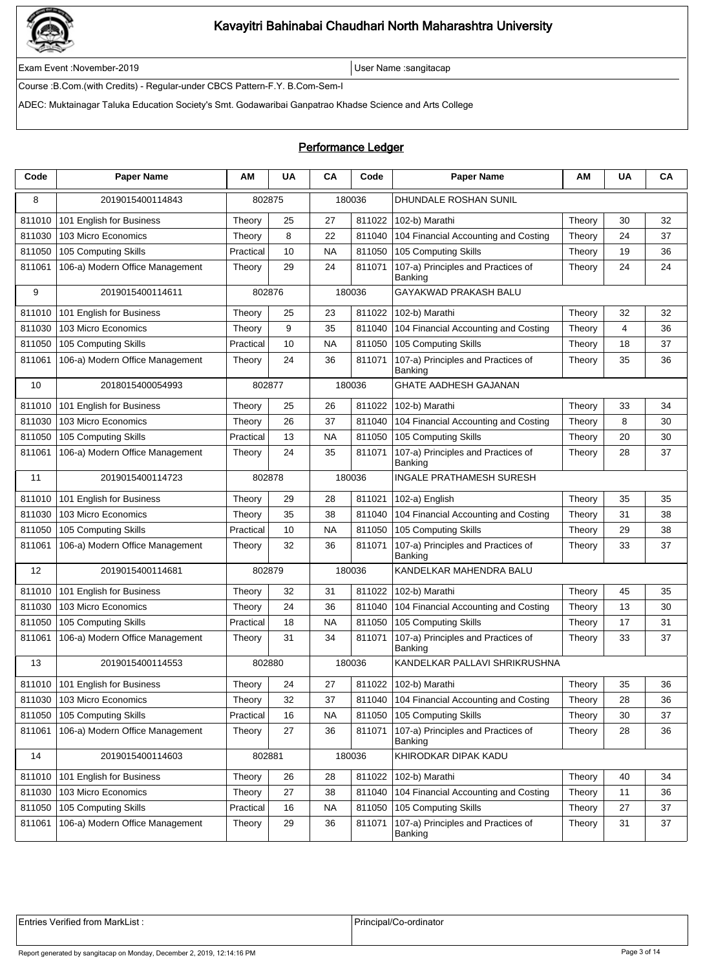

Exam Event :November-2019 User Name :sangitacap

Course :B.Com.(with Credits) - Regular-under CBCS Pattern-F.Y. B.Com-Sem-I

ADEC: Muktainagar Taluka Education Society's Smt. Godawaribai Ganpatrao Khadse Science and Arts College

### Performance Ledger

| Code   | <b>Paper Name</b>                 | ΑМ        | <b>UA</b> | CA        | Code   | <b>Paper Name</b>                             | АΜ     | <b>UA</b> | CA |
|--------|-----------------------------------|-----------|-----------|-----------|--------|-----------------------------------------------|--------|-----------|----|
| 8      | 2019015400114843                  | 802875    |           |           | 180036 | DHUNDALE ROSHAN SUNIL                         |        |           |    |
| 811010 | 101 English for Business          | Theory    | 25        | 27        | 811022 | 102-b) Marathi                                | Theory | 30        | 32 |
| 811030 | 103 Micro Economics               | Theory    | 8         | 22        | 811040 | 104 Financial Accounting and Costing          | Theory | 24        | 37 |
| 811050 | 105 Computing Skills              | Practical | 10        | <b>NA</b> | 811050 | 105 Computing Skills                          | Theory | 19        | 36 |
| 811061 | 106-a) Modern Office Management   | Theory    | 29        | 24        | 811071 | 107-a) Principles and Practices of<br>Banking | Theory | 24        | 24 |
| 9      | 2019015400114611                  | 802876    |           |           | 180036 | GAYAKWAD PRAKASH BALU                         |        |           |    |
| 811010 | 101 English for Business          | Theory    | 25        | 23        | 811022 | 102-b) Marathi                                | Theory | 32        | 32 |
| 811030 | 103 Micro Economics               | Theory    | 9         | 35        | 811040 | 104 Financial Accounting and Costing          | Theory | 4         | 36 |
| 811050 | 105 Computing Skills              | Practical | 10        | <b>NA</b> | 811050 | 105 Computing Skills                          | Theory | 18        | 37 |
| 811061 | 106-a) Modern Office Management   | Theory    | 24        | 36        | 811071 | 107-a) Principles and Practices of<br>Banking | Theory | 35        | 36 |
| 10     | 2018015400054993                  | 802877    |           |           | 180036 | <b>GHATE AADHESH GAJANAN</b>                  |        |           |    |
| 811010 | 101 English for Business          | Theory    | 25        | 26        | 811022 | 102-b) Marathi                                | Theory | 33        | 34 |
| 811030 | 103 Micro Economics               | Theory    | 26        | 37        | 811040 | 104 Financial Accounting and Costing          | Theory | 8         | 30 |
| 811050 | 105 Computing Skills              | Practical | 13        | <b>NA</b> | 811050 | 105 Computing Skills                          | Theory | 20        | 30 |
| 811061 | 106-a) Modern Office Management   | Theory    | 24        | 35        | 811071 | 107-a) Principles and Practices of<br>Banking | Theory | 28        | 37 |
| 11     | 2019015400114723                  | 802878    |           |           | 180036 | <b>INGALE PRATHAMESH SURESH</b>               |        |           |    |
| 811010 | 101 English for Business          | Theory    | 29        | 28        | 811021 | 102-a) English                                | Theory | 35        | 35 |
| 811030 | 103 Micro Economics               | Theory    | 35        | 38        | 811040 | 104 Financial Accounting and Costing          | Theory | 31        | 38 |
| 811050 | 105 Computing Skills              | Practical | 10        | <b>NA</b> | 811050 | 105 Computing Skills                          | Theory | 29        | 38 |
| 811061 | 106-a) Modern Office Management   | Theory    | 32        | 36        | 811071 | 107-a) Principles and Practices of<br>Banking | Theory | 33        | 37 |
| 12     | 2019015400114681                  | 802879    |           |           | 180036 | KANDELKAR MAHENDRA BALU                       |        |           |    |
| 811010 | 101 English for Business          | Theory    | 32        | 31        | 811022 | 102-b) Marathi                                | Theory | 45        | 35 |
| 811030 | 103 Micro Economics               | Theory    | 24        | 36        | 811040 | 104 Financial Accounting and Costing          | Theory | 13        | 30 |
| 811050 | 105 Computing Skills              | Practical | 18        | <b>NA</b> | 811050 | 105 Computing Skills                          | Theory | 17        | 31 |
| 811061 | 106-a) Modern Office Management   | Theory    | 31        | 34        | 811071 | 107-a) Principles and Practices of<br>Banking | Theory | 33        | 37 |
| 13     | 2019015400114553                  | 802880    |           |           | 180036 | KANDELKAR PALLAVI SHRIKRUSHNA                 |        |           |    |
|        | 811010   101 English for Business | Theory    | 24        | 27        |        | 811022 102-b) Marathi                         | Theory | 35        | 36 |
| 811030 | 103 Micro Economics               | Theory    | 32        | 37        |        | 811040 104 Financial Accounting and Costing   | Theory | 28        | 36 |
| 811050 | 105 Computing Skills              | Practical | 16        | NA.       | 811050 | 105 Computing Skills                          | Theory | 30        | 37 |
| 811061 | 106-a) Modern Office Management   | Theory    | 27        | 36        | 811071 | 107-a) Principles and Practices of<br>Banking | Theory | 28        | 36 |
| 14     | 2019015400114603                  | 802881    |           |           | 180036 | KHIRODKAR DIPAK KADU                          |        |           |    |
| 811010 | 101 English for Business          | Theory    | 26        | 28        | 811022 | 102-b) Marathi                                | Theory | 40        | 34 |
| 811030 | 103 Micro Economics               | Theory    | 27        | 38        | 811040 | 104 Financial Accounting and Costing          | Theory | 11        | 36 |
| 811050 | 105 Computing Skills              | Practical | 16        | <b>NA</b> | 811050 | 105 Computing Skills                          | Theory | 27        | 37 |
| 811061 | 106-a) Modern Office Management   | Theory    | 29        | 36        | 811071 | 107-a) Principles and Practices of<br>Banking | Theory | 31        | 37 |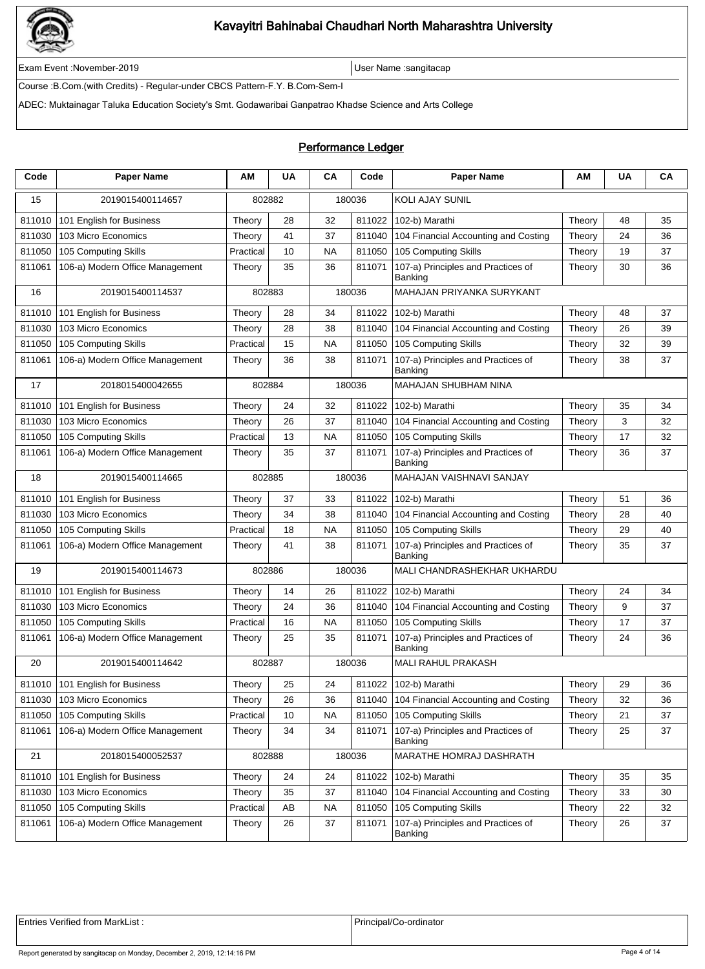

Exam Event :November-2019 User Name :sangitacap

Course :B.Com.(with Credits) - Regular-under CBCS Pattern-F.Y. B.Com-Sem-I

ADEC: Muktainagar Taluka Education Society's Smt. Godawaribai Ganpatrao Khadse Science and Arts College

### Performance Ledger

| Code   | <b>Paper Name</b>                 | АM        | <b>UA</b>                                    | CA        | Code   | <b>Paper Name</b>                             | АM     | <b>UA</b> | CA |
|--------|-----------------------------------|-----------|----------------------------------------------|-----------|--------|-----------------------------------------------|--------|-----------|----|
| 15     | 2019015400114657                  | 802882    |                                              |           | 180036 | <b>KOLI AJAY SUNIL</b>                        |        |           |    |
| 811010 | 101 English for Business          | Theory    | 28                                           | 32        | 811022 | 102-b) Marathi                                | Theory | 48        | 35 |
| 811030 | 103 Micro Economics               | Theory    | 41                                           | 37        | 811040 | 104 Financial Accounting and Costing          | Theory | 24        | 36 |
| 811050 | 105 Computing Skills              | Practical | 10                                           | <b>NA</b> | 811050 | 105 Computing Skills                          | Theory | 19        | 37 |
| 811061 | 106-a) Modern Office Management   | Theory    | 35                                           | 36        | 811071 | 107-a) Principles and Practices of<br>Banking | Theory | 30        | 36 |
| 16     | 2019015400114537                  | 802883    |                                              |           | 180036 | MAHAJAN PRIYANKA SURYKANT                     |        |           |    |
| 811010 | 101 English for Business          | Theory    | 28                                           | 34        | 811022 | 102-b) Marathi                                | Theory | 48        | 37 |
| 811030 | 103 Micro Economics               | Theory    | 28                                           | 38        | 811040 | 104 Financial Accounting and Costing          | Theory | 26        | 39 |
| 811050 | 105 Computing Skills              | Practical | 15                                           | <b>NA</b> | 811050 | 105 Computing Skills                          | Theory | 32        | 39 |
| 811061 | 106-a) Modern Office Management   | Theory    | 36                                           | 38        | 811071 | 107-a) Principles and Practices of<br>Banking | Theory | 38        | 37 |
| 17     | 2018015400042655                  | 802884    |                                              |           | 180036 | MAHAJAN SHUBHAM NINA                          |        |           |    |
| 811010 | 101 English for Business          | Theory    | 24                                           | 32        | 811022 | 102-b) Marathi                                | Theory | 35        | 34 |
| 811030 | 103 Micro Economics               | Theory    | 26                                           | 37        | 811040 | 104 Financial Accounting and Costing          | Theory | 3         | 32 |
| 811050 | 105 Computing Skills              | Practical | 13                                           | <b>NA</b> | 811050 | 105 Computing Skills                          | Theory | 17        | 32 |
| 811061 | 106-a) Modern Office Management   | Theory    | 35                                           | 37        | 811071 | 107-a) Principles and Practices of<br>Banking | Theory | 36        | 37 |
| 18     | 2019015400114665                  |           | MAHAJAN VAISHNAVI SANJAY<br>802885<br>180036 |           |        |                                               |        |           |    |
| 811010 | 101 English for Business          | Theory    | 37                                           | 33        | 811022 | 102-b) Marathi                                | Theory | 51        | 36 |
| 811030 | 103 Micro Economics               | Theory    | 34                                           | 38        | 811040 | 104 Financial Accounting and Costing          | Theory | 28        | 40 |
| 811050 | 105 Computing Skills              | Practical | 18                                           | NA        | 811050 | 105 Computing Skills                          | Theory | 29        | 40 |
| 811061 | 106-a) Modern Office Management   | Theory    | 41                                           | 38        | 811071 | 107-a) Principles and Practices of<br>Banking | Theory | 35        | 37 |
| 19     | 2019015400114673                  | 802886    |                                              |           | 180036 | MALI CHANDRASHEKHAR UKHARDU                   |        |           |    |
| 811010 | 101 English for Business          | Theory    | 14                                           | 26        | 811022 | 102-b) Marathi                                | Theory | 24        | 34 |
| 811030 | 103 Micro Economics               | Theory    | 24                                           | 36        | 811040 | 104 Financial Accounting and Costing          | Theory | 9         | 37 |
| 811050 | 105 Computing Skills              | Practical | 16                                           | <b>NA</b> | 811050 | 105 Computing Skills                          | Theory | 17        | 37 |
| 811061 | 106-a) Modern Office Management   | Theory    | 25                                           | 35        | 811071 | 107-a) Principles and Practices of<br>Banking | Theory | 24        | 36 |
| 20     | 2019015400114642                  | 802887    |                                              |           | 180036 | MALI RAHUL PRAKASH                            |        |           |    |
|        | 811010   101 English for Business | Theory    | 25                                           | 24        |        | 811022 102-b) Marathi                         | Theory | 29        | 36 |
| 811030 | 103 Micro Economics               | Theory    | 26                                           | 36        |        | 811040 104 Financial Accounting and Costing   | Theory | 32        | 36 |
| 811050 | 105 Computing Skills              | Practical | 10                                           | <b>NA</b> | 811050 | 105 Computing Skills                          | Theory | 21        | 37 |
| 811061 | 106-a) Modern Office Management   | Theory    | 34                                           | 34        | 811071 | 107-a) Principles and Practices of<br>Banking | Theory | 25        | 37 |
| 21     | 2018015400052537                  | 802888    |                                              |           | 180036 | MARATHE HOMRAJ DASHRATH                       |        |           |    |
| 811010 | 101 English for Business          | Theory    | 24                                           | 24        | 811022 | 102-b) Marathi                                | Theory | 35        | 35 |
| 811030 | 103 Micro Economics               | Theory    | 35                                           | 37        | 811040 | 104 Financial Accounting and Costing          | Theory | 33        | 30 |
| 811050 | 105 Computing Skills              | Practical | AB                                           | <b>NA</b> | 811050 | 105 Computing Skills                          | Theory | 22        | 32 |
| 811061 | 106-a) Modern Office Management   | Theory    | 26                                           | 37        | 811071 | 107-a) Principles and Practices of<br>Banking | Theory | 26        | 37 |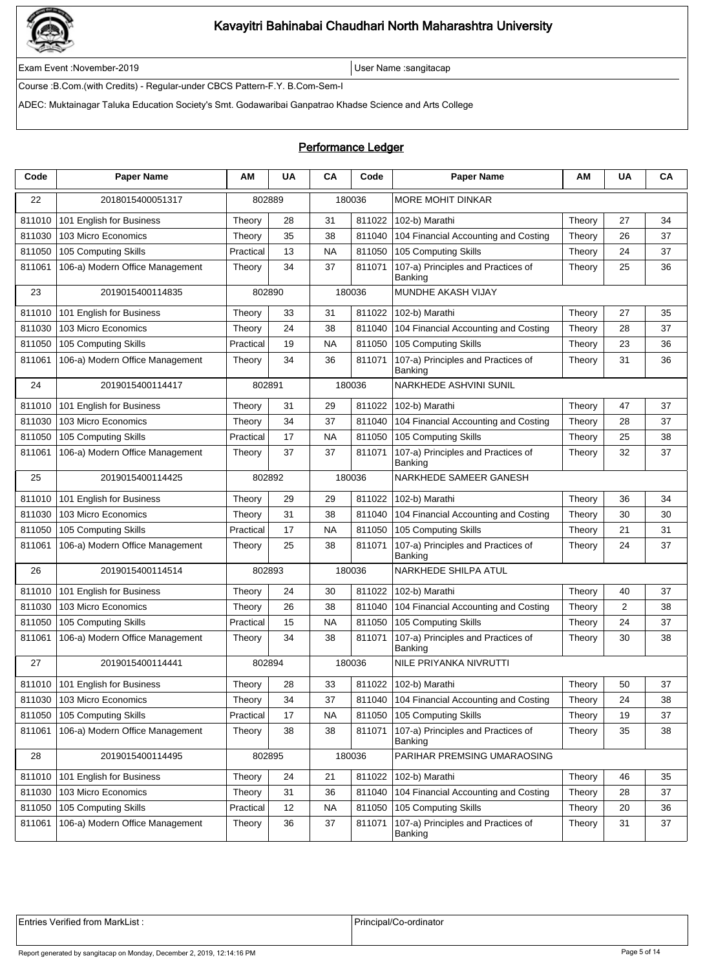

Exam Event :November-2019 User Name :sangitacap

Course :B.Com.(with Credits) - Regular-under CBCS Pattern-F.Y. B.Com-Sem-I

ADEC: Muktainagar Taluka Education Society's Smt. Godawaribai Ganpatrao Khadse Science and Arts College

### Performance Ledger

| Code   | <b>Paper Name</b>                 | ΑМ        | <b>UA</b> | CA        | Code   | <b>Paper Name</b>                             | AM     | <b>UA</b> | CA |
|--------|-----------------------------------|-----------|-----------|-----------|--------|-----------------------------------------------|--------|-----------|----|
| 22     | 2018015400051317                  | 802889    |           |           | 180036 | MORE MOHIT DINKAR                             |        |           |    |
| 811010 | 101 English for Business          | Theory    | 28        | 31        | 811022 | 102-b) Marathi                                | Theory | 27        | 34 |
| 811030 | 103 Micro Economics               | Theory    | 35        | 38        | 811040 | 104 Financial Accounting and Costing          | Theory | 26        | 37 |
| 811050 | 105 Computing Skills              | Practical | 13        | <b>NA</b> | 811050 | 105 Computing Skills                          | Theory | 24        | 37 |
| 811061 | 106-a) Modern Office Management   | Theory    | 34        | 37        | 811071 | 107-a) Principles and Practices of<br>Banking | Theory | 25        | 36 |
| 23     | 2019015400114835                  | 802890    |           |           | 180036 | MUNDHE AKASH VIJAY                            |        |           |    |
| 811010 | 101 English for Business          | Theory    | 33        | 31        | 811022 | 102-b) Marathi                                | Theory | 27        | 35 |
| 811030 | 103 Micro Economics               | Theory    | 24        | 38        | 811040 | 104 Financial Accounting and Costing          | Theory | 28        | 37 |
| 811050 | 105 Computing Skills              | Practical | 19        | <b>NA</b> | 811050 | 105 Computing Skills                          | Theory | 23        | 36 |
| 811061 | 106-a) Modern Office Management   | Theory    | 34        | 36        | 811071 | 107-a) Principles and Practices of<br>Banking | Theory | 31        | 36 |
| 24     | 2019015400114417                  | 802891    |           |           | 180036 | NARKHEDE ASHVINI SUNIL                        |        |           |    |
| 811010 | 101 English for Business          | Theory    | 31        | 29        | 811022 | 102-b) Marathi                                | Theory | 47        | 37 |
| 811030 | 103 Micro Economics               | Theory    | 34        | 37        | 811040 | 104 Financial Accounting and Costing          | Theory | 28        | 37 |
| 811050 | 105 Computing Skills              | Practical | 17        | <b>NA</b> | 811050 | 105 Computing Skills                          | Theory | 25        | 38 |
| 811061 | 106-a) Modern Office Management   | Theory    | 37        | 37        | 811071 | 107-a) Principles and Practices of<br>Banking | Theory | 32        | 37 |
| 25     | 2019015400114425                  | 802892    |           |           | 180036 | NARKHEDE SAMEER GANESH                        |        |           |    |
| 811010 | 101 English for Business          | Theory    | 29        | 29        | 811022 | 102-b) Marathi                                | Theory | 36        | 34 |
| 811030 | 103 Micro Economics               | Theory    | 31        | 38        | 811040 | 104 Financial Accounting and Costing          | Theory | 30        | 30 |
| 811050 | 105 Computing Skills              | Practical | 17        | <b>NA</b> | 811050 | 105 Computing Skills                          | Theory | 21        | 31 |
| 811061 | 106-a) Modern Office Management   | Theory    | 25        | 38        | 811071 | 107-a) Principles and Practices of<br>Banking | Theory | 24        | 37 |
| 26     | 2019015400114514                  | 802893    |           |           | 180036 | NARKHEDE SHILPA ATUL                          |        |           |    |
| 811010 | 101 English for Business          | Theory    | 24        | 30        | 811022 | 102-b) Marathi                                | Theory | 40        | 37 |
| 811030 | 103 Micro Economics               | Theory    | 26        | 38        | 811040 | 104 Financial Accounting and Costing          | Theory | 2         | 38 |
| 811050 | 105 Computing Skills              | Practical | 15        | <b>NA</b> | 811050 | 105 Computing Skills                          | Theory | 24        | 37 |
| 811061 | 106-a) Modern Office Management   | Theory    | 34        | 38        | 811071 | 107-a) Principles and Practices of<br>Banking | Theory | 30        | 38 |
| 27     | 2019015400114441                  | 802894    |           |           | 180036 | NILE PRIYANKA NIVRUTTI                        |        |           |    |
|        | 811010   101 English for Business | Theory    | 28        | 33        |        | 811022 102-b) Marathi                         | Theory | 50        | 37 |
| 811030 | 103 Micro Economics               | Theory    | 34        | 37        |        | 811040 104 Financial Accounting and Costing   | Theory | 24        | 38 |
| 811050 | 105 Computing Skills              | Practical | 17        | NA.       | 811050 | 105 Computing Skills                          | Theory | 19        | 37 |
| 811061 | 106-a) Modern Office Management   | Theory    | 38        | 38        | 811071 | 107-a) Principles and Practices of<br>Banking | Theory | 35        | 38 |
| 28     | 2019015400114495                  | 802895    |           |           | 180036 | PARIHAR PREMSING UMARAOSING                   |        |           |    |
| 811010 | 101 English for Business          | Theory    | 24        | 21        | 811022 | 102-b) Marathi                                | Theory | 46        | 35 |
| 811030 | 103 Micro Economics               | Theory    | 31        | 36        | 811040 | 104 Financial Accounting and Costing          | Theory | 28        | 37 |
| 811050 | 105 Computing Skills              | Practical | 12        | <b>NA</b> | 811050 | 105 Computing Skills                          | Theory | 20        | 36 |
| 811061 | 106-a) Modern Office Management   | Theory    | 36        | 37        | 811071 | 107-a) Principles and Practices of<br>Banking | Theory | 31        | 37 |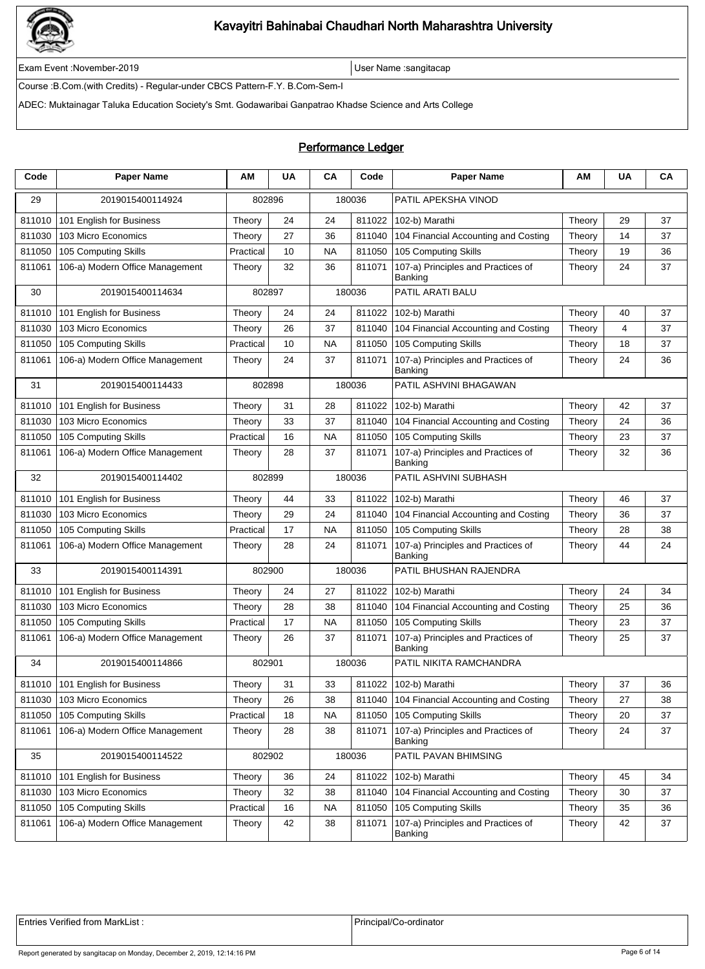

Exam Event :November-2019 User Name :sangitacap

Course :B.Com.(with Credits) - Regular-under CBCS Pattern-F.Y. B.Com-Sem-I

ADEC: Muktainagar Taluka Education Society's Smt. Godawaribai Ganpatrao Khadse Science and Arts College

### Performance Ledger

| Code   | <b>Paper Name</b>                 | ΑМ        | <b>UA</b> | CA        | Code   | <b>Paper Name</b>                             | АΜ     | <b>UA</b> | CA |
|--------|-----------------------------------|-----------|-----------|-----------|--------|-----------------------------------------------|--------|-----------|----|
| 29     | 2019015400114924                  | 802896    |           |           | 180036 | PATIL APEKSHA VINOD                           |        |           |    |
| 811010 | 101 English for Business          | Theory    | 24        | 24        | 811022 | 102-b) Marathi                                | Theory | 29        | 37 |
| 811030 | 103 Micro Economics               | Theory    | 27        | 36        | 811040 | 104 Financial Accounting and Costing          | Theory | 14        | 37 |
| 811050 | 105 Computing Skills              | Practical | 10        | <b>NA</b> | 811050 | 105 Computing Skills                          | Theory | 19        | 36 |
| 811061 | 106-a) Modern Office Management   | Theory    | 32        | 36        | 811071 | 107-a) Principles and Practices of<br>Banking | Theory | 24        | 37 |
| 30     | 2019015400114634                  | 802897    |           |           | 180036 | PATIL ARATI BALU                              |        |           |    |
| 811010 | 101 English for Business          | Theory    | 24        | 24        | 811022 | 102-b) Marathi                                | Theory | 40        | 37 |
| 811030 | 103 Micro Economics               | Theory    | 26        | 37        | 811040 | 104 Financial Accounting and Costing          | Theory | 4         | 37 |
| 811050 | 105 Computing Skills              | Practical | 10        | <b>NA</b> | 811050 | 105 Computing Skills                          | Theory | 18        | 37 |
| 811061 | 106-a) Modern Office Management   | Theory    | 24        | 37        | 811071 | 107-a) Principles and Practices of<br>Banking | Theory | 24        | 36 |
| 31     | 2019015400114433                  | 802898    |           |           | 180036 | PATIL ASHVINI BHAGAWAN                        |        |           |    |
| 811010 | 101 English for Business          | Theory    | 31        | 28        | 811022 | 102-b) Marathi                                | Theory | 42        | 37 |
| 811030 | 103 Micro Economics               | Theory    | 33        | 37        | 811040 | 104 Financial Accounting and Costing          | Theory | 24        | 36 |
| 811050 | 105 Computing Skills              | Practical | 16        | <b>NA</b> | 811050 | 105 Computing Skills                          | Theory | 23        | 37 |
| 811061 | 106-a) Modern Office Management   | Theory    | 28        | 37        | 811071 | 107-a) Principles and Practices of<br>Banking | Theory | 32        | 36 |
| 32     | 2019015400114402                  | 802899    |           |           | 180036 | PATIL ASHVINI SUBHASH                         |        |           |    |
| 811010 | 101 English for Business          | Theory    | 44        | 33        | 811022 | 102-b) Marathi                                | Theory | 46        | 37 |
| 811030 | 103 Micro Economics               | Theory    | 29        | 24        | 811040 | 104 Financial Accounting and Costing          | Theory | 36        | 37 |
| 811050 | 105 Computing Skills              | Practical | 17        | <b>NA</b> | 811050 | 105 Computing Skills                          | Theory | 28        | 38 |
| 811061 | 106-a) Modern Office Management   | Theory    | 28        | 24        | 811071 | 107-a) Principles and Practices of<br>Banking | Theory | 44        | 24 |
| 33     | 2019015400114391                  | 802900    |           |           | 180036 | PATIL BHUSHAN RAJENDRA                        |        |           |    |
| 811010 | 101 English for Business          | Theory    | 24        | 27        | 811022 | 102-b) Marathi                                | Theory | 24        | 34 |
| 811030 | 103 Micro Economics               | Theory    | 28        | 38        | 811040 | 104 Financial Accounting and Costing          | Theory | 25        | 36 |
| 811050 | 105 Computing Skills              | Practical | 17        | <b>NA</b> | 811050 | 105 Computing Skills                          | Theory | 23        | 37 |
| 811061 | 106-a) Modern Office Management   | Theory    | 26        | 37        | 811071 | 107-a) Principles and Practices of<br>Banking | Theory | 25        | 37 |
| 34     | 2019015400114866                  | 802901    |           |           | 180036 | PATIL NIKITA RAMCHANDRA                       |        |           |    |
|        | 811010   101 English for Business | Theory    | 31        | 33        |        | 811022 102-b) Marathi                         | Theory | 37        | 36 |
| 811030 | 103 Micro Economics               | Theory    | 26        | 38        |        | 811040 104 Financial Accounting and Costing   | Theory | 27        | 38 |
| 811050 | 105 Computing Skills              | Practical | 18        | NA.       | 811050 | 105 Computing Skills                          | Theory | 20        | 37 |
| 811061 | 106-a) Modern Office Management   | Theory    | 28        | 38        | 811071 | 107-a) Principles and Practices of<br>Banking | Theory | 24        | 37 |
| 35     | 2019015400114522                  | 802902    |           |           | 180036 | PATIL PAVAN BHIMSING                          |        |           |    |
| 811010 | 101 English for Business          | Theory    | 36        | 24        | 811022 | 102-b) Marathi                                | Theory | 45        | 34 |
| 811030 | 103 Micro Economics               | Theory    | 32        | 38        | 811040 | 104 Financial Accounting and Costing          | Theory | 30        | 37 |
| 811050 | 105 Computing Skills              | Practical | 16        | <b>NA</b> | 811050 | 105 Computing Skills                          | Theory | 35        | 36 |
| 811061 | 106-a) Modern Office Management   | Theory    | 42        | 38        | 811071 | 107-a) Principles and Practices of<br>Banking | Theory | 42        | 37 |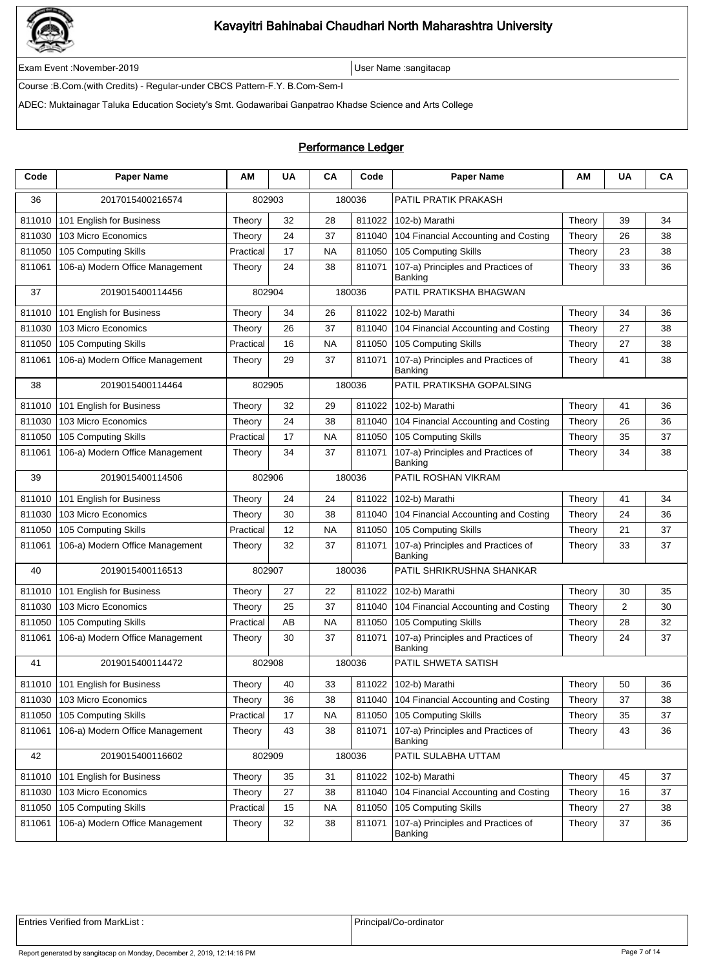

Exam Event :November-2019 User Name :sangitacap

Course :B.Com.(with Credits) - Regular-under CBCS Pattern-F.Y. B.Com-Sem-I

ADEC: Muktainagar Taluka Education Society's Smt. Godawaribai Ganpatrao Khadse Science and Arts College

### Performance Ledger

| Code   | <b>Paper Name</b>                 | ΑМ        | <b>UA</b> | CA        | Code   | <b>Paper Name</b>                             | АΜ     | <b>UA</b> | CA |
|--------|-----------------------------------|-----------|-----------|-----------|--------|-----------------------------------------------|--------|-----------|----|
| 36     | 2017015400216574                  | 802903    |           |           | 180036 | PATIL PRATIK PRAKASH                          |        |           |    |
| 811010 | 101 English for Business          | Theory    | 32        | 28        | 811022 | 102-b) Marathi                                | Theory | 39        | 34 |
| 811030 | 103 Micro Economics               | Theory    | 24        | 37        | 811040 | 104 Financial Accounting and Costing          | Theory | 26        | 38 |
| 811050 | 105 Computing Skills              | Practical | 17        | <b>NA</b> | 811050 | 105 Computing Skills                          | Theory | 23        | 38 |
| 811061 | 106-a) Modern Office Management   | Theory    | 24        | 38        | 811071 | 107-a) Principles and Practices of<br>Banking | Theory | 33        | 36 |
| 37     | 2019015400114456                  | 802904    |           |           | 180036 | PATIL PRATIKSHA BHAGWAN                       |        |           |    |
| 811010 | 101 English for Business          | Theory    | 34        | 26        | 811022 | 102-b) Marathi                                | Theory | 34        | 36 |
| 811030 | 103 Micro Economics               | Theory    | 26        | 37        | 811040 | 104 Financial Accounting and Costing          | Theory | 27        | 38 |
| 811050 | 105 Computing Skills              | Practical | 16        | <b>NA</b> | 811050 | 105 Computing Skills                          | Theory | 27        | 38 |
| 811061 | 106-a) Modern Office Management   | Theory    | 29        | 37        | 811071 | 107-a) Principles and Practices of<br>Banking | Theory | 41        | 38 |
| 38     | 2019015400114464                  | 802905    |           |           | 180036 | PATIL PRATIKSHA GOPALSING                     |        |           |    |
| 811010 | 101 English for Business          | Theory    | 32        | 29        | 811022 | 102-b) Marathi                                | Theory | 41        | 36 |
| 811030 | 103 Micro Economics               | Theory    | 24        | 38        | 811040 | 104 Financial Accounting and Costing          | Theory | 26        | 36 |
| 811050 | 105 Computing Skills              | Practical | 17        | <b>NA</b> | 811050 | 105 Computing Skills                          | Theory | 35        | 37 |
| 811061 | 106-a) Modern Office Management   | Theory    | 34        | 37        | 811071 | 107-a) Principles and Practices of<br>Banking | Theory | 34        | 38 |
| 39     | 2019015400114506                  | 802906    |           |           | 180036 | PATIL ROSHAN VIKRAM                           |        |           |    |
| 811010 | 101 English for Business          | Theory    | 24        | 24        | 811022 | 102-b) Marathi                                | Theory | 41        | 34 |
| 811030 | 103 Micro Economics               | Theory    | 30        | 38        | 811040 | 104 Financial Accounting and Costing          | Theory | 24        | 36 |
| 811050 | 105 Computing Skills              | Practical | 12        | <b>NA</b> | 811050 | 105 Computing Skills                          | Theory | 21        | 37 |
| 811061 | 106-a) Modern Office Management   | Theory    | 32        | 37        | 811071 | 107-a) Principles and Practices of<br>Banking | Theory | 33        | 37 |
| 40     | 2019015400116513                  | 802907    |           |           | 180036 | PATIL SHRIKRUSHNA SHANKAR                     |        |           |    |
| 811010 | 101 English for Business          | Theory    | 27        | 22        | 811022 | 102-b) Marathi                                | Theory | 30        | 35 |
| 811030 | 103 Micro Economics               | Theory    | 25        | 37        | 811040 | 104 Financial Accounting and Costing          | Theory | 2         | 30 |
| 811050 | 105 Computing Skills              | Practical | AB        | <b>NA</b> | 811050 | 105 Computing Skills                          | Theory | 28        | 32 |
| 811061 | 106-a) Modern Office Management   | Theory    | 30        | 37        | 811071 | 107-a) Principles and Practices of<br>Banking | Theory | 24        | 37 |
| 41     | 2019015400114472                  | 802908    |           |           | 180036 | PATIL SHWETA SATISH                           |        |           |    |
|        | 811010   101 English for Business | Theory    | 40        | 33        |        | 811022 102-b) Marathi                         | Theory | $50\,$    | 36 |
| 811030 | 103 Micro Economics               | Theory    | 36        | 38        |        | 811040 104 Financial Accounting and Costing   | Theory | 37        | 38 |
| 811050 | 105 Computing Skills              | Practical | 17        | NA        | 811050 | 105 Computing Skills                          | Theory | 35        | 37 |
| 811061 | 106-a) Modern Office Management   | Theory    | 43        | 38        | 811071 | 107-a) Principles and Practices of<br>Banking | Theory | 43        | 36 |
| 42     | 2019015400116602                  | 802909    |           |           | 180036 | PATIL SULABHA UTTAM                           |        |           |    |
| 811010 | 101 English for Business          | Theory    | 35        | 31        | 811022 | 102-b) Marathi                                | Theory | 45        | 37 |
| 811030 | 103 Micro Economics               | Theory    | 27        | 38        | 811040 | 104 Financial Accounting and Costing          | Theory | 16        | 37 |
| 811050 | 105 Computing Skills              | Practical | 15        | <b>NA</b> | 811050 | 105 Computing Skills                          | Theory | 27        | 38 |
| 811061 | 106-a) Modern Office Management   | Theory    | 32        | 38        | 811071 | 107-a) Principles and Practices of<br>Banking | Theory | 37        | 36 |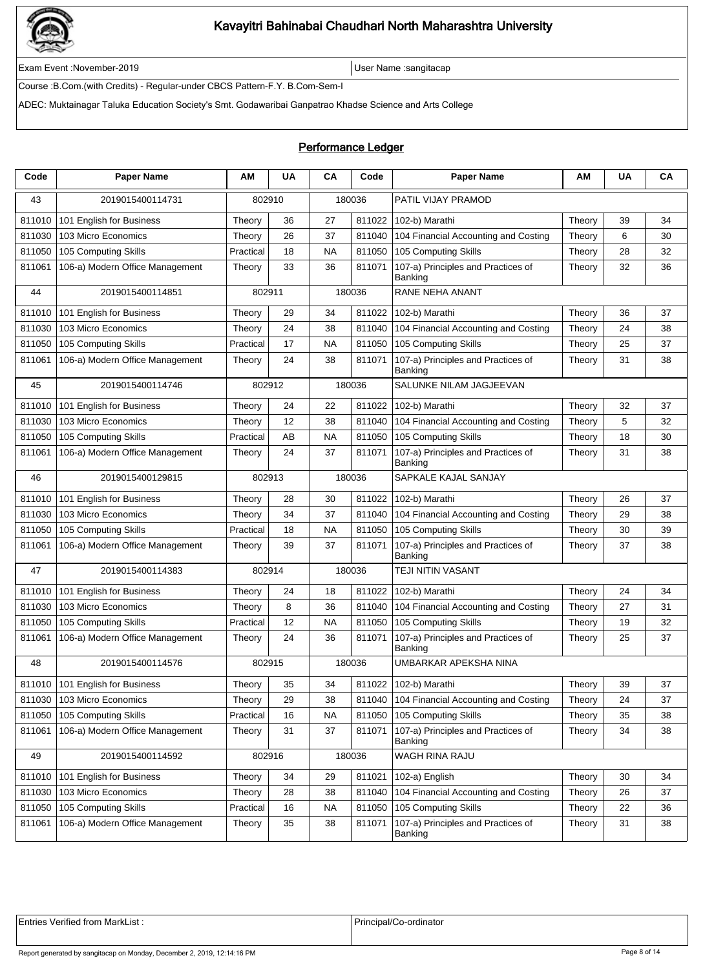

Exam Event :November-2019 User Name :sangitacap

Course :B.Com.(with Credits) - Regular-under CBCS Pattern-F.Y. B.Com-Sem-I

ADEC: Muktainagar Taluka Education Society's Smt. Godawaribai Ganpatrao Khadse Science and Arts College

### Performance Ledger

| Code   | <b>Paper Name</b>                 | ΑМ        | <b>UA</b> | CA        | Code   | <b>Paper Name</b>                             | АΜ     | <b>UA</b> | CA |
|--------|-----------------------------------|-----------|-----------|-----------|--------|-----------------------------------------------|--------|-----------|----|
| 43     | 2019015400114731                  | 802910    |           |           | 180036 | PATIL VIJAY PRAMOD                            |        |           |    |
| 811010 | 101 English for Business          | Theory    | 36        | 27        | 811022 | 102-b) Marathi                                | Theory | 39        | 34 |
| 811030 | 103 Micro Economics               | Theory    | 26        | 37        | 811040 | 104 Financial Accounting and Costing          | Theory | 6         | 30 |
| 811050 | 105 Computing Skills              | Practical | 18        | <b>NA</b> | 811050 | 105 Computing Skills                          | Theory | 28        | 32 |
| 811061 | 106-a) Modern Office Management   | Theory    | 33        | 36        | 811071 | 107-a) Principles and Practices of<br>Banking | Theory | 32        | 36 |
| 44     | 2019015400114851                  | 802911    |           |           | 180036 | RANE NEHA ANANT                               |        |           |    |
| 811010 | 101 English for Business          | Theory    | 29        | 34        | 811022 | 102-b) Marathi                                | Theory | 36        | 37 |
| 811030 | 103 Micro Economics               | Theory    | 24        | 38        | 811040 | 104 Financial Accounting and Costing          | Theory | 24        | 38 |
| 811050 | 105 Computing Skills              | Practical | 17        | <b>NA</b> | 811050 | 105 Computing Skills                          | Theory | 25        | 37 |
| 811061 | 106-a) Modern Office Management   | Theory    | 24        | 38        | 811071 | 107-a) Principles and Practices of<br>Banking | Theory | 31        | 38 |
| 45     | 2019015400114746                  | 802912    |           |           | 180036 | SALUNKE NILAM JAGJEEVAN                       |        |           |    |
| 811010 | 101 English for Business          | Theory    | 24        | 22        | 811022 | 102-b) Marathi                                | Theory | 32        | 37 |
| 811030 | 103 Micro Economics               | Theory    | 12        | 38        | 811040 | 104 Financial Accounting and Costing          | Theory | 5         | 32 |
| 811050 | 105 Computing Skills              | Practical | AB        | <b>NA</b> | 811050 | 105 Computing Skills                          | Theory | 18        | 30 |
| 811061 | 106-a) Modern Office Management   | Theory    | 24        | 37        | 811071 | 107-a) Principles and Practices of<br>Banking | Theory | 31        | 38 |
| 46     | 2019015400129815                  | 802913    |           |           | 180036 | SAPKALE KAJAL SANJAY                          |        |           |    |
| 811010 | 101 English for Business          | Theory    | 28        | 30        | 811022 | 102-b) Marathi                                | Theory | 26        | 37 |
| 811030 | 103 Micro Economics               | Theory    | 34        | 37        | 811040 | 104 Financial Accounting and Costing          | Theory | 29        | 38 |
| 811050 | 105 Computing Skills              | Practical | 18        | <b>NA</b> | 811050 | 105 Computing Skills                          | Theory | 30        | 39 |
| 811061 | 106-a) Modern Office Management   | Theory    | 39        | 37        | 811071 | 107-a) Principles and Practices of<br>Banking | Theory | 37        | 38 |
| 47     | 2019015400114383                  | 802914    |           |           | 180036 | TEJI NITIN VASANT                             |        |           |    |
| 811010 | 101 English for Business          | Theory    | 24        | 18        | 811022 | 102-b) Marathi                                | Theory | 24        | 34 |
| 811030 | 103 Micro Economics               | Theory    | 8         | 36        | 811040 | 104 Financial Accounting and Costing          | Theory | 27        | 31 |
| 811050 | 105 Computing Skills              | Practical | 12        | <b>NA</b> | 811050 | 105 Computing Skills                          | Theory | 19        | 32 |
| 811061 | 106-a) Modern Office Management   | Theory    | 24        | 36        | 811071 | 107-a) Principles and Practices of<br>Banking | Theory | 25        | 37 |
| 48     | 2019015400114576                  | 802915    |           |           | 180036 | UMBARKAR APEKSHA NINA                         |        |           |    |
|        | 811010   101 English for Business | Theory    | 35        | 34        |        | 811022 102-b) Marathi                         | Theory | 39        | 37 |
| 811030 | 103 Micro Economics               | Theory    | 29        | 38        |        | 811040 104 Financial Accounting and Costing   | Theory | 24        | 37 |
| 811050 | 105 Computing Skills              | Practical | 16        | NA        | 811050 | 105 Computing Skills                          | Theory | 35        | 38 |
| 811061 | 106-a) Modern Office Management   | Theory    | 31        | 37        | 811071 | 107-a) Principles and Practices of<br>Banking | Theory | 34        | 38 |
| 49     | 2019015400114592                  | 802916    |           |           | 180036 | WAGH RINA RAJU                                |        |           |    |
| 811010 | 101 English for Business          | Theory    | 34        | 29        | 811021 | 102-a) English                                | Theory | 30        | 34 |
| 811030 | 103 Micro Economics               | Theory    | 28        | 38        | 811040 | 104 Financial Accounting and Costing          | Theory | 26        | 37 |
| 811050 | 105 Computing Skills              | Practical | 16        | <b>NA</b> | 811050 | 105 Computing Skills                          | Theory | 22        | 36 |
| 811061 | 106-a) Modern Office Management   | Theory    | 35        | 38        | 811071 | 107-a) Principles and Practices of<br>Banking | Theory | 31        | 38 |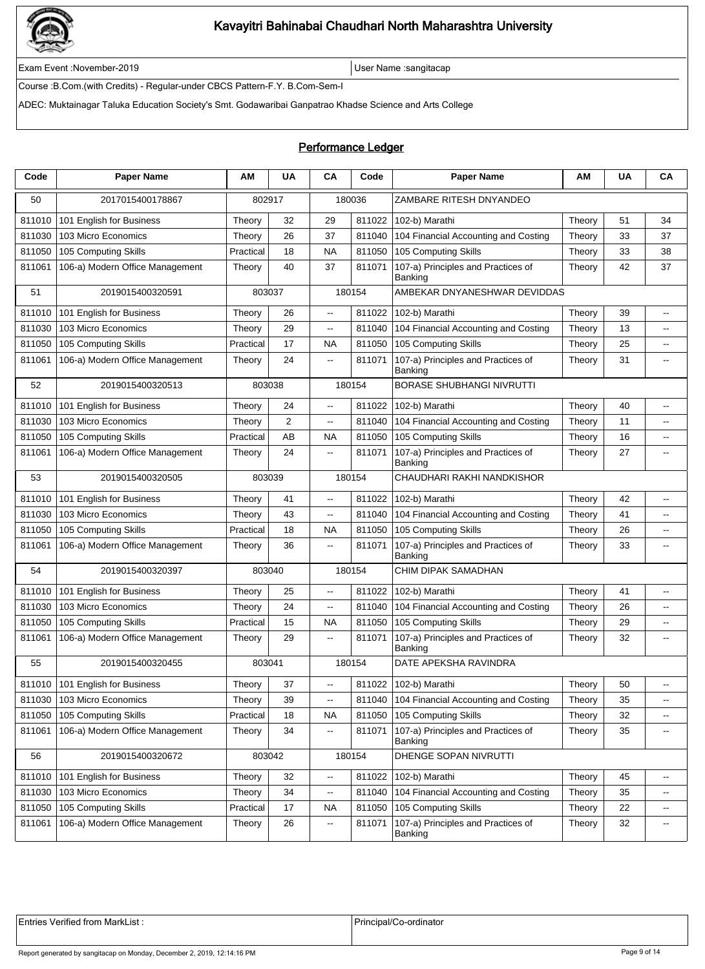

Exam Event :November-2019 User Name :sangitacap

Course :B.Com.(with Credits) - Regular-under CBCS Pattern-F.Y. B.Com-Sem-I

ADEC: Muktainagar Taluka Education Society's Smt. Godawaribai Ganpatrao Khadse Science and Arts College

### Performance Ledger

| Code   | <b>Paper Name</b>               | ΑM        | <b>UA</b>      | CA                       | Code   | <b>Paper Name</b>                             | ΑМ     | <b>UA</b> | CA                       |
|--------|---------------------------------|-----------|----------------|--------------------------|--------|-----------------------------------------------|--------|-----------|--------------------------|
| 50     | 2017015400178867                |           | 802917         |                          | 180036 | ZAMBARE RITESH DNYANDEO                       |        |           |                          |
| 811010 | 101 English for Business        | Theory    | 32             | 29                       | 811022 | 102-b) Marathi                                | Theory | 51        | 34                       |
| 811030 | 103 Micro Economics             | Theory    | 26             | 37                       | 811040 | 104 Financial Accounting and Costing          | Theory | 33        | 37                       |
| 811050 | 105 Computing Skills            | Practical | 18             | <b>NA</b>                | 811050 | 105 Computing Skills                          | Theory | 33        | 38                       |
| 811061 | 106-a) Modern Office Management | Theory    | 40             | 37                       | 811071 | 107-a) Principles and Practices of<br>Banking | Theory | 42        | 37                       |
| 51     | 2019015400320591                | 803037    |                |                          | 180154 | AMBEKAR DNYANESHWAR DEVIDDAS                  |        |           |                          |
| 811010 | 101 English for Business        | Theory    | 26             | $\overline{\phantom{a}}$ | 811022 | 102-b) Marathi                                | Theory | 39        | $\overline{a}$           |
| 811030 | 103 Micro Economics             | Theory    | 29             | $\overline{\phantom{a}}$ | 811040 | 104 Financial Accounting and Costing          | Theory | 13        | --                       |
| 811050 | 105 Computing Skills            | Practical | 17             | <b>NA</b>                | 811050 | 105 Computing Skills                          | Theory | 25        | $\overline{\phantom{a}}$ |
| 811061 | 106-a) Modern Office Management | Theory    | 24             | 44                       | 811071 | 107-a) Principles and Practices of<br>Banking | Theory | 31        | $\overline{\phantom{a}}$ |
| 52     | 2019015400320513                |           | 803038         |                          | 180154 | <b>BORASE SHUBHANGI NIVRUTTI</b>              |        |           |                          |
| 811010 | 101 English for Business        | Theory    | 24             | ц,                       | 811022 | 102-b) Marathi                                | Theory | 40        | $\overline{a}$           |
| 811030 | 103 Micro Economics             | Theory    | $\overline{2}$ | Ξ.                       | 811040 | 104 Financial Accounting and Costing          | Theory | 11        | $\overline{\phantom{a}}$ |
| 811050 | 105 Computing Skills            | Practical | AB             | <b>NA</b>                | 811050 | 105 Computing Skills                          | Theory | 16        | $\overline{\phantom{a}}$ |
| 811061 | 106-a) Modern Office Management | Theory    | 24             | $- -$                    | 811071 | 107-a) Principles and Practices of<br>Banking | Theory | 27        | --                       |
| 53     | 2019015400320505                |           | 803039         | 180154                   |        | CHAUDHARI RAKHI NANDKISHOR                    |        |           |                          |
| 811010 | 101 English for Business        | Theory    | 41             | Ξ.                       | 811022 | 102-b) Marathi                                | Theory | 42        | $\overline{\phantom{a}}$ |
| 811030 | 103 Micro Economics             | Theory    | 43             | Ξ.                       | 811040 | 104 Financial Accounting and Costing          | Theory | 41        | $\overline{\phantom{a}}$ |
| 811050 | 105 Computing Skills            | Practical | 18             | <b>NA</b>                | 811050 | 105 Computing Skills                          | Theory | 26        | ۰.                       |
| 811061 | 106-a) Modern Office Management | Theory    | 36             | $\overline{\phantom{a}}$ | 811071 | 107-a) Principles and Practices of<br>Banking | Theory | 33        | $\overline{\phantom{a}}$ |
| 54     | 2019015400320397                |           | 803040         |                          | 180154 | CHIM DIPAK SAMADHAN                           |        |           |                          |
| 811010 | 101 English for Business        | Theory    | 25             | $\overline{\phantom{a}}$ | 811022 | 102-b) Marathi                                | Theory | 41        | $\overline{a}$           |
| 811030 | 103 Micro Economics             | Theory    | 24             | щ.                       | 811040 | 104 Financial Accounting and Costing          | Theory | 26        | $\sim$                   |
| 811050 | 105 Computing Skills            | Practical | 15             | <b>NA</b>                | 811050 | 105 Computing Skills                          | Theory | 29        | $\sim$                   |
| 811061 | 106-a) Modern Office Management | Theory    | 29             | $\overline{\phantom{a}}$ | 811071 | 107-a) Principles and Practices of<br>Banking | Theory | 32        | $\overline{a}$           |
| 55     | 2019015400320455                | 803041    |                |                          | 180154 | DATE APEKSHA RAVINDRA                         |        |           |                          |
|        | 811010 101 English for Business | Theory    | 37             |                          |        | 811022 102-b) Marathi                         | Theory | 50        |                          |
| 811030 | 103 Micro Economics             | Theory    | 39             | $\overline{\phantom{a}}$ | 811040 | 104 Financial Accounting and Costing          | Theory | 35        | $\overline{\phantom{a}}$ |
| 811050 | 105 Computing Skills            | Practical | 18             | NA                       | 811050 | 105 Computing Skills                          | Theory | 32        | ۰.                       |
| 811061 | 106-a) Modern Office Management | Theory    | 34             | щ.                       | 811071 | 107-a) Principles and Practices of<br>Banking | Theory | 35        | ۰.                       |
| 56     | 2019015400320672                | 803042    |                |                          | 180154 | DHENGE SOPAN NIVRUTTI                         |        |           |                          |
| 811010 | 101 English for Business        | Theory    | 32             | $\overline{\phantom{a}}$ | 811022 | 102-b) Marathi                                | Theory | 45        | --                       |
| 811030 | 103 Micro Economics             | Theory    | 34             | --                       | 811040 | 104 Financial Accounting and Costing          | Theory | 35        | $\overline{\phantom{a}}$ |
| 811050 | 105 Computing Skills            | Practical | 17             | NA                       | 811050 | 105 Computing Skills                          | Theory | 22        | $\overline{\phantom{a}}$ |
| 811061 | 106-a) Modern Office Management | Theory    | 26             | Ξ.                       | 811071 | 107-a) Principles and Practices of<br>Banking | Theory | 32        | $\overline{\phantom{a}}$ |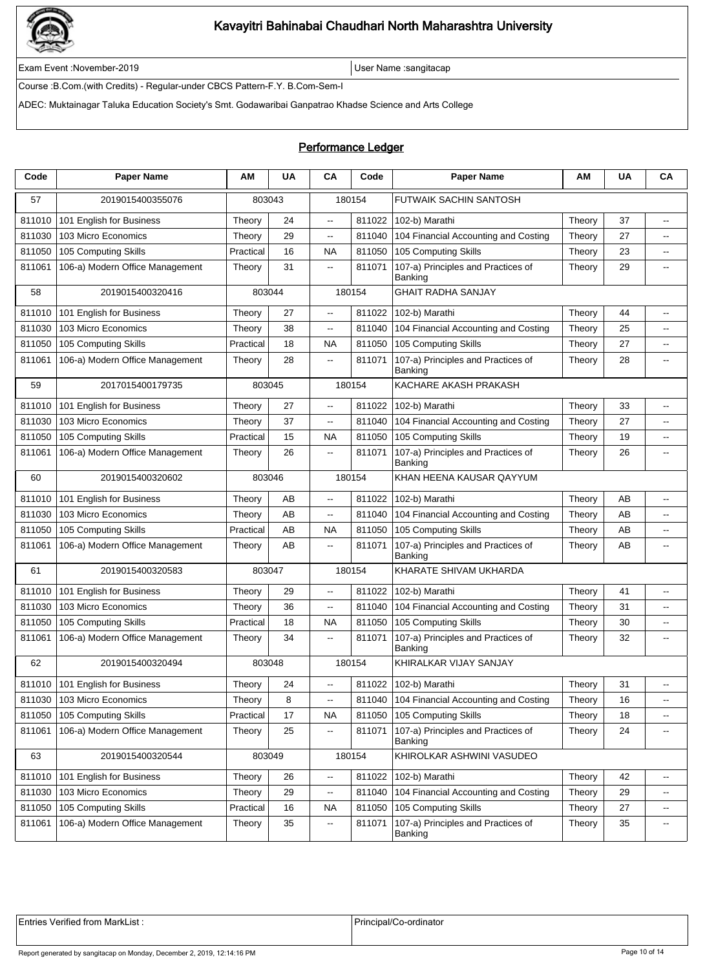

Exam Event :November-2019 User Name :sangitacap

Course :B.Com.(with Credits) - Regular-under CBCS Pattern-F.Y. B.Com-Sem-I

ADEC: Muktainagar Taluka Education Society's Smt. Godawaribai Ganpatrao Khadse Science and Arts College

### Performance Ledger

| Code   | <b>Paper Name</b>                 | ΑM        | <b>UA</b> | CA                       | Code   | <b>Paper Name</b>                                    | ΑМ     | <b>UA</b> | CA                                            |
|--------|-----------------------------------|-----------|-----------|--------------------------|--------|------------------------------------------------------|--------|-----------|-----------------------------------------------|
| 57     | 2019015400355076                  |           | 803043    |                          | 180154 | <b>FUTWAIK SACHIN SANTOSH</b>                        |        |           |                                               |
| 811010 | 101 English for Business          | Theory    | 24        | .,                       | 811022 | 102-b) Marathi                                       | Theory | 37        | $\overline{\phantom{a}}$                      |
| 811030 | 103 Micro Economics               | Theory    | 29        | Ξ.                       | 811040 | 104 Financial Accounting and Costing                 | Theory | 27        | $\overline{\phantom{a}}$                      |
| 811050 | 105 Computing Skills              | Practical | 16        | <b>NA</b>                | 811050 | 105 Computing Skills                                 | Theory | 23        | $\overline{\phantom{a}}$                      |
| 811061 | 106-a) Modern Office Management   | Theory    | 31        | .,                       | 811071 | 107-a) Principles and Practices of<br>Banking        | Theory | 29        | $\overline{\phantom{a}}$                      |
| 58     | 2019015400320416                  | 803044    |           |                          | 180154 | <b>GHAIT RADHA SANJAY</b>                            |        |           |                                               |
| 811010 | 101 English for Business          | Theory    | 27        | $\overline{a}$           | 811022 | 102-b) Marathi                                       | Theory | 44        | $\overline{a}$                                |
| 811030 | 103 Micro Economics               | Theory    | 38        | $\overline{\phantom{a}}$ | 811040 | 104 Financial Accounting and Costing                 | Theory | 25        | $\overline{a}$                                |
| 811050 | 105 Computing Skills              | Practical | 18        | <b>NA</b>                | 811050 | 105 Computing Skills                                 | Theory | 27        | $\sim$                                        |
| 811061 | 106-a) Modern Office Management   | Theory    | 28        | Ξ.                       | 811071 | 107-a) Principles and Practices of<br>Banking        | Theory | 28        | $\overline{a}$                                |
| 59     | 2017015400179735                  |           | 803045    |                          | 180154 | KACHARE AKASH PRAKASH                                |        |           |                                               |
| 811010 | 101 English for Business          | Theory    | 27        | $\overline{\phantom{a}}$ | 811022 | 102-b) Marathi                                       | Theory | 33        | $\overline{\phantom{a}}$                      |
| 811030 | 103 Micro Economics               | Theory    | 37        | Ξ.                       | 811040 | 104 Financial Accounting and Costing                 | Theory | 27        | $\overline{\phantom{a}}$                      |
| 811050 | 105 Computing Skills              | Practical | 15        | <b>NA</b>                | 811050 | 105 Computing Skills                                 | Theory | 19        | $\overline{\phantom{a}}$                      |
| 811061 | 106-a) Modern Office Management   | Theory    | 26        | $- -$                    | 811071 | 107-a) Principles and Practices of<br>Banking        | Theory | 26        | --                                            |
| 60     | 2019015400320602                  | 803046    |           | 180154                   |        | KHAN HEENA KAUSAR QAYYUM                             |        |           |                                               |
| 811010 | 101 English for Business          | Theory    | AB        | Ξ.                       | 811022 | 102-b) Marathi                                       | Theory | AB        | --                                            |
| 811030 | 103 Micro Economics               | Theory    | AB        | Ξ.                       | 811040 | 104 Financial Accounting and Costing                 | Theory | AB        | --                                            |
| 811050 | 105 Computing Skills              | Practical | AB        | <b>NA</b>                | 811050 | 105 Computing Skills                                 | Theory | AB        | $\overline{\phantom{a}}$                      |
| 811061 | 106-a) Modern Office Management   | Theory    | AB        | щ.                       | 811071 | 107-a) Principles and Practices of<br>Banking        | Theory | AB        | $\overline{\phantom{a}}$                      |
| 61     | 2019015400320583                  |           | 803047    |                          | 180154 | KHARATE SHIVAM UKHARDA                               |        |           |                                               |
| 811010 | 101 English for Business          | Theory    | 29        | --                       | 811022 | 102-b) Marathi                                       | Theory | 41        | -−                                            |
| 811030 | 103 Micro Economics               | Theory    | 36        | Ξ.                       | 811040 | 104 Financial Accounting and Costing                 | Theory | 31        | $\overline{\phantom{a}}$                      |
| 811050 | 105 Computing Skills              | Practical | 18        | <b>NA</b>                | 811050 | 105 Computing Skills                                 | Theory | 30        | $\mathord{\hspace{1pt}\text{--}\hspace{1pt}}$ |
| 811061 | 106-a) Modern Office Management   | Theory    | 34        | $\overline{\phantom{a}}$ | 811071 | 107-a) Principles and Practices of<br><b>Banking</b> | Theory | 32        | --                                            |
| 62     | 2019015400320494                  | 803048    |           |                          | 180154 | KHIRALKAR VIJAY SANJAY                               |        |           |                                               |
|        | 811010   101 English for Business | Theory    | 24        |                          |        | 811022 102-b) Marathi                                | Theory | 31        |                                               |
| 811030 | 103 Micro Economics               | Theory    | 8         | $- -$                    | 811040 | 104 Financial Accounting and Costing                 | Theory | 16        | $\overline{\phantom{a}}$                      |
| 811050 | 105 Computing Skills              | Practical | 17        | NА                       | 811050 | 105 Computing Skills                                 | Theory | 18        | $\overline{\phantom{a}}$                      |
| 811061 | 106-a) Modern Office Management   | Theory    | 25        | ٠.                       | 811071 | 107-a) Principles and Practices of<br>Banking        | Theory | 24        | $\overline{\phantom{a}}$                      |
| 63     | 2019015400320544                  | 803049    |           |                          | 180154 | KHIROLKAR ASHWINI VASUDEO                            |        |           |                                               |
| 811010 | 101 English for Business          | Theory    | 26        | ۰.                       | 811022 | 102-b) Marathi                                       | Theory | 42        | -−                                            |
| 811030 | 103 Micro Economics               | Theory    | 29        | ٠.                       | 811040 | 104 Financial Accounting and Costing                 | Theory | 29        | ۰.                                            |
| 811050 | 105 Computing Skills              | Practical | 16        | NA                       | 811050 | 105 Computing Skills                                 | Theory | 27        | $\mathbf{H}$                                  |
| 811061 | 106-a) Modern Office Management   | Theory    | 35        | --                       | 811071 | 107-a) Principles and Practices of<br>Banking        | Theory | 35        | $\overline{\phantom{a}}$                      |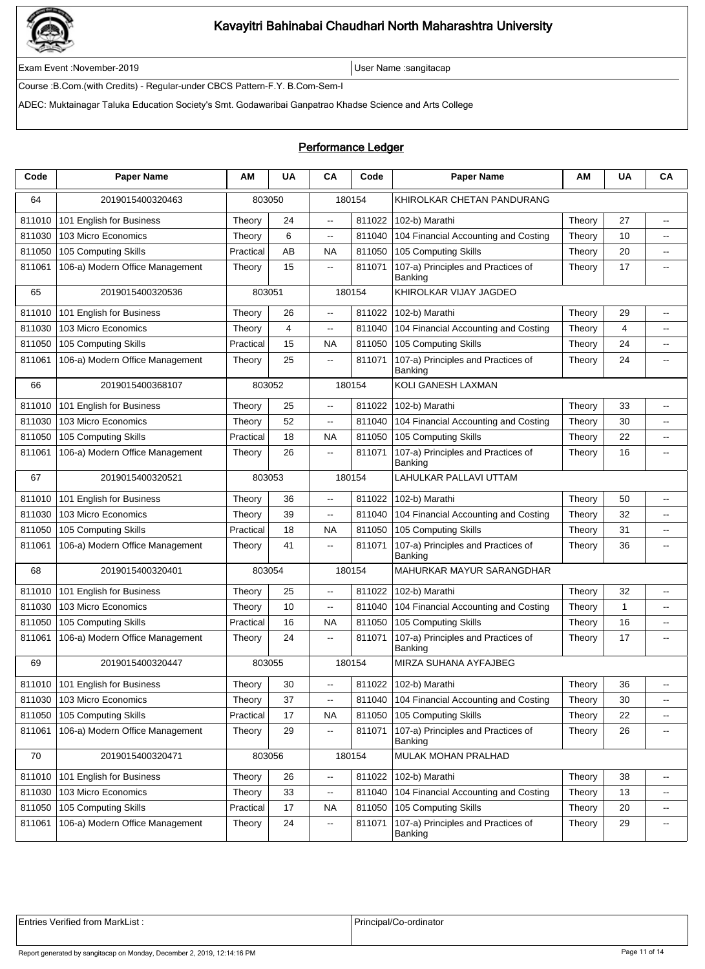

Exam Event :November-2019 User Name :sangitacap

Course :B.Com.(with Credits) - Regular-under CBCS Pattern-F.Y. B.Com-Sem-I

ADEC: Muktainagar Taluka Education Society's Smt. Godawaribai Ganpatrao Khadse Science and Arts College

### Performance Ledger

| Code   | <b>Paper Name</b>               | ΑM        | <b>UA</b> | CA                       | Code   | <b>Paper Name</b>                             | AM     | <b>UA</b>    | CA                       |
|--------|---------------------------------|-----------|-----------|--------------------------|--------|-----------------------------------------------|--------|--------------|--------------------------|
| 64     | 2019015400320463                |           | 803050    |                          | 180154 | KHIROLKAR CHETAN PANDURANG                    |        |              |                          |
| 811010 | 101 English for Business        | Theory    | 24        | $\overline{\phantom{a}}$ | 811022 | 102-b) Marathi                                | Theory | 27           | $\overline{\phantom{a}}$ |
| 811030 | 103 Micro Economics             | Theory    | 6         | Ξ.                       | 811040 | 104 Financial Accounting and Costing          | Theory | 10           | $\overline{a}$           |
| 811050 | 105 Computing Skills            | Practical | AB        | <b>NA</b>                | 811050 | 105 Computing Skills                          | Theory | 20           | $\overline{a}$           |
| 811061 | 106-a) Modern Office Management | Theory    | 15        | --                       | 811071 | 107-a) Principles and Practices of<br>Banking | Theory | 17           | $\overline{\phantom{a}}$ |
| 65     | 2019015400320536                | 803051    |           |                          | 180154 | KHIROLKAR VIJAY JAGDEO                        |        |              |                          |
| 811010 | 101 English for Business        | Theory    | 26        | $\overline{\phantom{a}}$ | 811022 | 102-b) Marathi                                | Theory | 29           | цц.                      |
| 811030 | 103 Micro Economics             | Theory    | 4         | $\overline{\phantom{a}}$ | 811040 | 104 Financial Accounting and Costing          | Theory | 4            | --                       |
| 811050 | 105 Computing Skills            | Practical | 15        | <b>NA</b>                | 811050 | 105 Computing Skills                          | Theory | 24           | $\overline{\phantom{a}}$ |
| 811061 | 106-a) Modern Office Management | Theory    | 25        | 44                       | 811071 | 107-a) Principles and Practices of<br>Banking | Theory | 24           | $\overline{\phantom{a}}$ |
| 66     | 2019015400368107                | 803052    |           |                          | 180154 | KOLI GANESH LAXMAN                            |        |              |                          |
| 811010 | 101 English for Business        | Theory    | 25        | ц,                       | 811022 | 102-b) Marathi                                | Theory | 33           | $\overline{a}$           |
| 811030 | 103 Micro Economics             | Theory    | 52        | Ξ.                       | 811040 | 104 Financial Accounting and Costing          | Theory | 30           | $\overline{\phantom{a}}$ |
| 811050 | 105 Computing Skills            | Practical | 18        | <b>NA</b>                | 811050 | 105 Computing Skills                          | Theory | 22           | $\overline{\phantom{a}}$ |
| 811061 | 106-a) Modern Office Management | Theory    | 26        | $- -$                    | 811071 | 107-a) Principles and Practices of<br>Banking | Theory | 16           | --                       |
| 67     | 2019015400320521                | 803053    |           |                          | 180154 | LAHULKAR PALLAVI UTTAM                        |        |              |                          |
| 811010 | 101 English for Business        | Theory    | 36        | Ξ.                       | 811022 | 102-b) Marathi                                | Theory | 50           | $\overline{\phantom{a}}$ |
| 811030 | 103 Micro Economics             | Theory    | 39        | Ξ.                       | 811040 | 104 Financial Accounting and Costing          | Theory | 32           | $\overline{\phantom{a}}$ |
| 811050 | 105 Computing Skills            | Practical | 18        | <b>NA</b>                | 811050 | 105 Computing Skills                          | Theory | 31           | ۰.                       |
| 811061 | 106-a) Modern Office Management | Theory    | 41        | $\overline{\phantom{a}}$ | 811071 | 107-a) Principles and Practices of<br>Banking | Theory | 36           | $\overline{\phantom{a}}$ |
| 68     | 2019015400320401                |           | 803054    |                          | 180154 | MAHURKAR MAYUR SARANGDHAR                     |        |              |                          |
| 811010 | 101 English for Business        | Theory    | 25        | $\overline{\phantom{a}}$ | 811022 | 102-b) Marathi                                | Theory | 32           | $\overline{a}$           |
| 811030 | 103 Micro Economics             | Theory    | 10        | щ.                       | 811040 | 104 Financial Accounting and Costing          | Theory | $\mathbf{1}$ | $\sim$                   |
| 811050 | 105 Computing Skills            | Practical | 16        | <b>NA</b>                | 811050 | 105 Computing Skills                          | Theory | 16           | $\sim$                   |
| 811061 | 106-a) Modern Office Management | Theory    | 24        | $\overline{\phantom{a}}$ | 811071 | 107-a) Principles and Practices of<br>Banking | Theory | 17           | $\overline{a}$           |
| 69     | 2019015400320447                | 803055    |           |                          | 180154 | MIRZA SUHANA AYFAJBEG                         |        |              |                          |
|        | 811010 101 English for Business | Theory    | $30\,$    |                          |        | 811022 102-b) Marathi                         | Theory | 36           |                          |
| 811030 | 103 Micro Economics             | Theory    | 37        | $\overline{\phantom{a}}$ | 811040 | 104 Financial Accounting and Costing          | Theory | 30           | $\overline{\phantom{a}}$ |
| 811050 | 105 Computing Skills            | Practical | 17        | NA                       | 811050 | 105 Computing Skills                          | Theory | 22           | ۰.                       |
| 811061 | 106-a) Modern Office Management | Theory    | 29        | ٠.                       | 811071 | 107-a) Principles and Practices of<br>Banking | Theory | 26           | ۰.                       |
| 70     | 2019015400320471                | 803056    |           |                          | 180154 | MULAK MOHAN PRALHAD                           |        |              |                          |
| 811010 | 101 English for Business        | Theory    | 26        | $\overline{\phantom{a}}$ | 811022 | 102-b) Marathi                                | Theory | 38           | --                       |
| 811030 | 103 Micro Economics             | Theory    | 33        | --                       | 811040 | 104 Financial Accounting and Costing          | Theory | 13           | $\overline{\phantom{a}}$ |
| 811050 | 105 Computing Skills            | Practical | 17        | NA                       | 811050 | 105 Computing Skills                          | Theory | 20           | $\overline{\phantom{a}}$ |
| 811061 | 106-a) Modern Office Management | Theory    | 24        | ٠.                       | 811071 | 107-a) Principles and Practices of<br>Banking | Theory | 29           | $\overline{\phantom{a}}$ |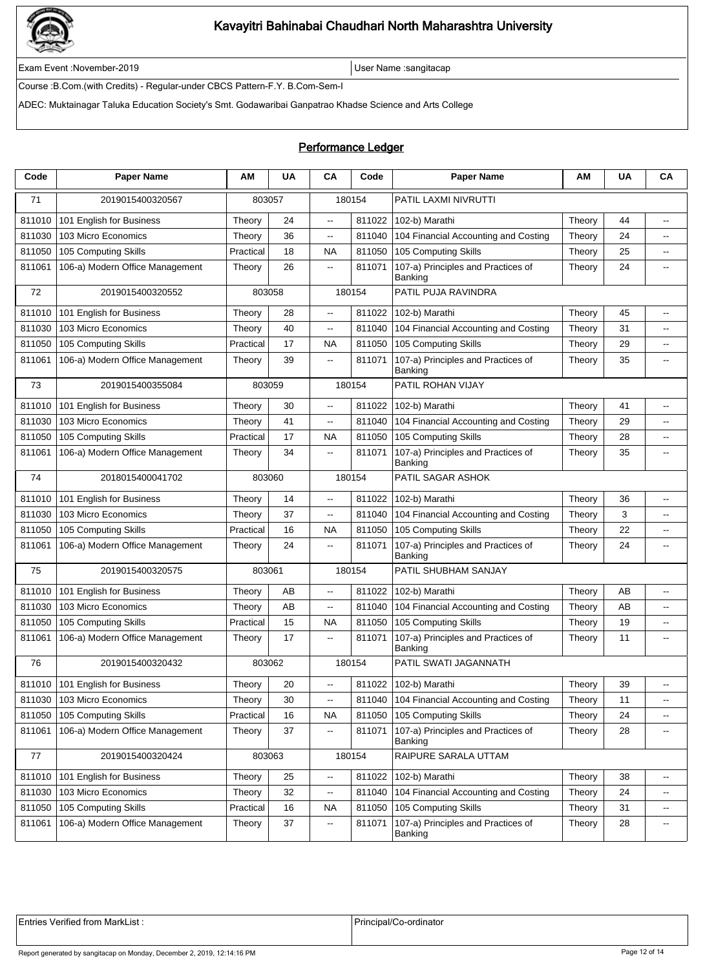

Exam Event :November-2019 User Name :sangitacap

Course :B.Com.(with Credits) - Regular-under CBCS Pattern-F.Y. B.Com-Sem-I

ADEC: Muktainagar Taluka Education Society's Smt. Godawaribai Ganpatrao Khadse Science and Arts College

### Performance Ledger

| Code   | <b>Paper Name</b>               | ΑM        | <b>UA</b> | CA                       | Code   | <b>Paper Name</b>                             | ΑМ     | <b>UA</b> | CA                       |  |
|--------|---------------------------------|-----------|-----------|--------------------------|--------|-----------------------------------------------|--------|-----------|--------------------------|--|
| 71     | 2019015400320567                | 803057    |           | 180154                   |        | PATIL LAXMI NIVRUTTI                          |        |           |                          |  |
| 811010 | 101 English for Business        | Theory    | 24        | $\overline{\phantom{a}}$ | 811022 | 102-b) Marathi                                | Theory | 44        | $\overline{\phantom{a}}$ |  |
| 811030 | 103 Micro Economics             | Theory    | 36        | Ξ.                       | 811040 | 104 Financial Accounting and Costing          | Theory | 24        | $\overline{\phantom{a}}$ |  |
| 811050 | 105 Computing Skills            | Practical | 18        | <b>NA</b>                | 811050 | 105 Computing Skills                          | Theory | 25        | $\overline{a}$           |  |
| 811061 | 106-a) Modern Office Management | Theory    | 26        | $\overline{\phantom{a}}$ | 811071 | 107-a) Principles and Practices of<br>Banking | Theory | 24        | $\overline{\phantom{a}}$ |  |
| 72     | 2019015400320552                | 803058    |           |                          | 180154 | PATIL PUJA RAVINDRA                           |        |           |                          |  |
| 811010 | 101 English for Business        | Theory    | 28        | $\overline{\phantom{a}}$ | 811022 | 102-b) Marathi                                | Theory | 45        | цц.                      |  |
| 811030 | 103 Micro Economics             | Theory    | 40        | $\overline{\phantom{a}}$ | 811040 | 104 Financial Accounting and Costing          | Theory | 31        | --                       |  |
| 811050 | 105 Computing Skills            | Practical | 17        | <b>NA</b>                | 811050 | 105 Computing Skills                          | Theory | 29        | $\overline{\phantom{a}}$ |  |
| 811061 | 106-a) Modern Office Management | Theory    | 39        | 44                       | 811071 | 107-a) Principles and Practices of<br>Banking | Theory | 35        | $\overline{\phantom{a}}$ |  |
| 73     | 2019015400355084                | 803059    |           | 180154                   |        | PATIL ROHAN VIJAY                             |        |           |                          |  |
| 811010 | 101 English for Business        | Theory    | 30        | .,                       | 811022 | 102-b) Marathi                                | Theory | 41        | $\overline{\phantom{a}}$ |  |
| 811030 | 103 Micro Economics             | Theory    | 41        | Ξ.                       | 811040 | 104 Financial Accounting and Costing          | Theory | 29        | $\overline{\phantom{a}}$ |  |
| 811050 | 105 Computing Skills            | Practical | 17        | <b>NA</b>                | 811050 | 105 Computing Skills                          | Theory | 28        | $\overline{\phantom{a}}$ |  |
| 811061 | 106-a) Modern Office Management | Theory    | 34        | $- -$                    | 811071 | 107-a) Principles and Practices of<br>Banking | Theory | 35        | --                       |  |
| 74     | 2018015400041702                | 803060    |           | 180154                   |        | PATIL SAGAR ASHOK                             |        |           |                          |  |
| 811010 | 101 English for Business        | Theory    | 14        | Ξ.                       | 811022 | 102-b) Marathi                                | Theory | 36        | $\overline{\phantom{a}}$ |  |
| 811030 | 103 Micro Economics             | Theory    | 37        | Ξ.                       | 811040 | 104 Financial Accounting and Costing          | Theory | 3         | $\overline{\phantom{a}}$ |  |
| 811050 | 105 Computing Skills            | Practical | 16        | <b>NA</b>                | 811050 | 105 Computing Skills                          | Theory | 22        | ۰.                       |  |
| 811061 | 106-a) Modern Office Management | Theory    | 24        | $\overline{\phantom{a}}$ | 811071 | 107-a) Principles and Practices of<br>Banking | Theory | 24        | $\overline{\phantom{a}}$ |  |
| 75     | 2019015400320575                | 803061    |           | 180154                   |        | PATIL SHUBHAM SANJAY                          |        |           |                          |  |
| 811010 | 101 English for Business        | Theory    | AB        | $\overline{\phantom{a}}$ | 811022 | 102-b) Marathi                                | Theory | AB        | $\overline{a}$           |  |
| 811030 | 103 Micro Economics             | Theory    | AB        | щ.                       | 811040 | 104 Financial Accounting and Costing          | Theory | AB        | $\sim$                   |  |
| 811050 | 105 Computing Skills            | Practical | 15        | <b>NA</b>                | 811050 | 105 Computing Skills                          | Theory | 19        | $\sim$                   |  |
| 811061 | 106-a) Modern Office Management | Theory    | 17        | $\overline{\phantom{a}}$ | 811071 | 107-a) Principles and Practices of<br>Banking | Theory | 11        | $\overline{a}$           |  |
| 76     | 2019015400320432                |           | 803062    | 180154                   |        | PATIL SWATI JAGANNATH                         |        |           |                          |  |
|        | 811010 101 English for Business | Theory    | 20        |                          |        | 811022 102-b) Marathi                         | Theory | 39        |                          |  |
| 811030 | 103 Micro Economics             | Theory    | 30        | $\overline{\phantom{a}}$ | 811040 | 104 Financial Accounting and Costing          | Theory | 11        | $\overline{\phantom{a}}$ |  |
| 811050 | 105 Computing Skills            | Practical | 16        | NA                       | 811050 | 105 Computing Skills                          | Theory | 24        | ۰.                       |  |
| 811061 | 106-a) Modern Office Management | Theory    | 37        | щ.                       | 811071 | 107-a) Principles and Practices of<br>Banking | Theory | 28        | ۰.                       |  |
| 77     | 2019015400320424                |           | 803063    |                          | 180154 | RAIPURE SARALA UTTAM                          |        |           |                          |  |
| 811010 | 101 English for Business        | Theory    | 25        | $\overline{\phantom{a}}$ | 811022 | 102-b) Marathi                                | Theory | 38        | --                       |  |
| 811030 | 103 Micro Economics             | Theory    | 32        | --                       | 811040 | 104 Financial Accounting and Costing          | Theory | 24        | $\overline{\phantom{a}}$ |  |
| 811050 | 105 Computing Skills            | Practical | 16        | NA                       | 811050 | 105 Computing Skills                          | Theory | 31        | $\overline{\phantom{a}}$ |  |
| 811061 | 106-a) Modern Office Management | Theory    | 37        | ۰.                       | 811071 | 107-a) Principles and Practices of<br>Banking | Theory | 28        | $\overline{\phantom{a}}$ |  |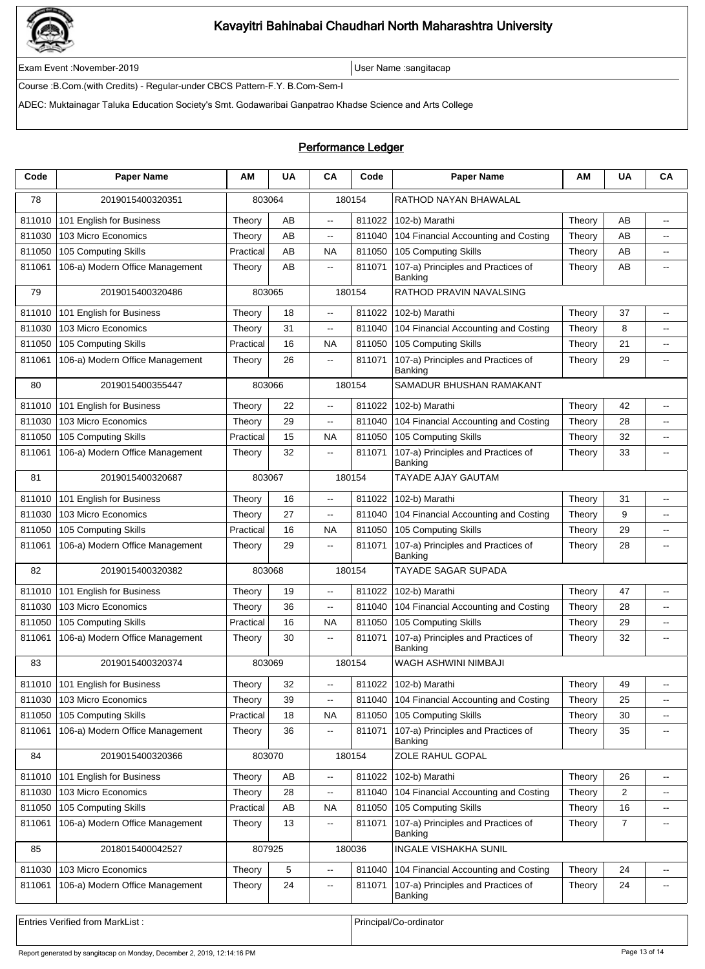

Exam Event :November-2019 User Name :sangitacap

Course :B.Com.(with Credits) - Regular-under CBCS Pattern-F.Y. B.Com-Sem-I

ADEC: Muktainagar Taluka Education Society's Smt. Godawaribai Ganpatrao Khadse Science and Arts College

### Performance Ledger

| 180154<br>RATHOD NAYAN BHAWALAL<br>78<br>2019015400320351<br>803064<br>811010<br>811022<br>102-b) Marathi<br>AB<br>101 English for Business<br>Theory<br>AB<br>Theory<br>$\overline{\phantom{a}}$<br>--<br>AB<br>104 Financial Accounting and Costing<br>AB<br>811030<br>103 Micro Economics<br>811040<br>Theory<br>Theory<br>$\overline{\phantom{a}}$<br>--<br>105 Computing Skills<br>AB<br>105 Computing Skills<br>811050<br>Practical<br><b>NA</b><br>811050<br>AB<br>Theory<br>$\overline{a}$<br>106-a) Modern Office Management<br>AB<br>107-a) Principles and Practices of<br>AB<br>811061<br>811071<br>Theory<br>Theory<br>$\overline{\phantom{a}}$<br>$\overline{a}$<br>Banking<br>180154<br>RATHOD PRAVIN NAVALSING<br>79<br>2019015400320486<br>803065<br>101 English for Business<br>811022<br>102-b) Marathi<br>811010<br>Theory<br>18<br>Theory<br>37<br>--<br>--<br>811030<br>31<br>811040<br>104 Financial Accounting and Costing<br>8<br>103 Micro Economics<br>Theory<br>ц,<br>Theory<br>$\overline{\phantom{a}}$<br>105 Computing Skills<br>811050<br>105 Computing Skills<br>16<br><b>NA</b><br>811050<br>21<br>Practical<br>Theory<br>$\overline{a}$<br>107-a) Principles and Practices of<br>29<br>811061<br>106-a) Modern Office Management<br>26<br>811071<br>Theory<br>Theory<br>--<br>--<br>Banking<br>2019015400355447<br>803066<br>180154<br>SAMADUR BHUSHAN RAMAKANT<br>80<br>22<br>811010<br>101 English for Business<br>Theory<br>811022<br>102-b) Marathi<br>Theory<br>42<br>Ξ.<br>--<br>103 Micro Economics<br>104 Financial Accounting and Costing<br>811030<br>29<br>811040<br>28<br>Theory<br>ц,<br>Theory<br>$\overline{\phantom{a}}$<br>15<br>105 Computing Skills<br><b>NA</b><br>811050<br>105 Computing Skills<br>32<br>811050<br>Practical<br>Theory<br>$\overline{\phantom{a}}$<br>106-a) Modern Office Management<br>32<br>107-a) Principles and Practices of<br>33<br>811061<br>811071<br>Theory<br>Theory<br>--<br>$\overline{\phantom{a}}$<br>Banking<br>180154<br><b>TAYADE AJAY GAUTAM</b><br>81<br>2019015400320687<br>803067<br>811010<br>101 English for Business<br>16<br>811022<br>102-b) Marathi<br>Theory<br>31<br>Theory<br>$\overline{a}$<br>$\overline{a}$<br>103 Micro Economics<br>27<br>104 Financial Accounting and Costing<br>9<br>811030<br>811040<br>Theory<br>Theory<br>$\overline{\phantom{a}}$<br>$\overline{a}$<br>105 Computing Skills<br>811050<br>105 Computing Skills<br>29<br>811050<br>Practical<br>16<br><b>NA</b><br>Theory<br>$\overline{\phantom{a}}$<br>107-a) Principles and Practices of<br>106-a) Modern Office Management<br>29<br>811071<br>28<br>811061<br>Theory<br>Theory<br>--<br>$\overline{a}$<br>Banking<br>82<br>2019015400320382<br>180154<br>TAYADE SAGAR SUPADA<br>803068<br>811010<br>811022<br>102-b) Marathi<br>Theory<br>47<br>101 English for Business<br>19<br>Theory<br>$\overline{\phantom{a}}$<br>$\overline{\phantom{a}}$<br>811030<br>103 Micro Economics<br>811040<br>104 Financial Accounting and Costing<br>36<br>28<br>Theory<br>ц,<br>Theory<br>$\overline{\phantom{a}}$<br>105 Computing Skills<br>105 Computing Skills<br>16<br><b>NA</b><br>811050<br>29<br>811050<br>Practical<br>Theory<br>$\overline{\phantom{a}}$<br>106-a) Modern Office Management<br>30<br>107-a) Principles and Practices of<br>32<br>811061<br>811071<br>Theory<br>Theory<br>$\overline{\phantom{a}}$<br>$\overline{a}$<br>Banking<br>83<br>2019015400320374<br>803069<br>180154<br>WAGH ASHWINI NIMBAJI<br>Theory<br>Theory<br>811022 102-b) Marathi<br>811010 101 English for Business<br>32<br>49<br>103 Micro Economics<br>39<br>811040<br>104 Financial Accounting and Costing<br>25<br>811030<br>Theory<br>Theory<br>$\overline{\phantom{a}}$<br>--<br>105 Computing Skills<br>105 Computing Skills<br>811050<br>Practical<br>18<br><b>NA</b><br>811050<br>Theory<br>30<br>$\mathord{\hspace{1pt}\text{--}\hspace{1pt}}$<br>106-a) Modern Office Management<br>107-a) Principles and Practices of<br>811061<br>36<br>811071<br>35<br>Theory<br>Theory<br>--<br>$\overline{\phantom{a}}$<br>Banking<br>ZOLE RAHUL GOPAL<br>84<br>2019015400320366<br>803070<br>180154<br>101 English for Business<br>AB<br>811022<br>102-b) Marathi<br>Theory<br>26<br>811010<br>Theory<br>--<br>۰.<br>811030<br>103 Micro Economics<br>28<br>104 Financial Accounting and Costing<br>$\overline{2}$<br>811040<br>Theory<br>Theory<br>--<br>$\overline{\phantom{a}}$<br>105 Computing Skills<br>105 Computing Skills<br>811050<br>Practical<br>AB<br><b>NA</b><br>811050<br>16<br>Theory<br>۰.<br>107-a) Principles and Practices of<br>811061<br>106-a) Modern Office Management<br>13<br>811071<br>$\overline{7}$<br>Theory<br>Theory<br>$\overline{\phantom{a}}$<br>$\overline{\phantom{a}}$<br>Banking<br>85<br>180036<br>INGALE VISHAKHA SUNIL<br>2018015400042527<br>807925<br>103 Micro Economics<br>5<br>811030<br>Theory<br>811040<br>104 Financial Accounting and Costing<br>Theory<br>24<br>--<br>$\overline{\phantom{a}}$<br>107-a) Principles and Practices of<br>811061<br>106-a) Modern Office Management<br>24<br>811071<br>24<br>Theory<br>Theory<br>۰.<br>$\overline{\phantom{a}}$<br>Banking | Code | <b>Paper Name</b> | ΑМ | <b>UA</b> | CA | Code | <b>Paper Name</b> | ΑМ | <b>UA</b> | CA |  |
|---------------------------------------------------------------------------------------------------------------------------------------------------------------------------------------------------------------------------------------------------------------------------------------------------------------------------------------------------------------------------------------------------------------------------------------------------------------------------------------------------------------------------------------------------------------------------------------------------------------------------------------------------------------------------------------------------------------------------------------------------------------------------------------------------------------------------------------------------------------------------------------------------------------------------------------------------------------------------------------------------------------------------------------------------------------------------------------------------------------------------------------------------------------------------------------------------------------------------------------------------------------------------------------------------------------------------------------------------------------------------------------------------------------------------------------------------------------------------------------------------------------------------------------------------------------------------------------------------------------------------------------------------------------------------------------------------------------------------------------------------------------------------------------------------------------------------------------------------------------------------------------------------------------------------------------------------------------------------------------------------------------------------------------------------------------------------------------------------------------------------------------------------------------------------------------------------------------------------------------------------------------------------------------------------------------------------------------------------------------------------------------------------------------------------------------------------------------------------------------------------------------------------------------------------------------------------------------------------------------------------------------------------------------------------------------------------------------------------------------------------------------------------------------------------------------------------------------------------------------------------------------------------------------------------------------------------------------------------------------------------------------------------------------------------------------------------------------------------------------------------------------------------------------------------------------------------------------------------------------------------------------------------------------------------------------------------------------------------------------------------------------------------------------------------------------------------------------------------------------------------------------------------------------------------------------------------------------------------------------------------------------------------------------------------------------------------------------------------------------------------------------------------------------------------------------------------------------------------------------------------------------------------------------------------------------------------------------------------------------------------------------------------------------------------------------------------------------------------------------------------------------------------------------------------------------------------------------------------------------------------------------------------------------------------------------------------------------------------------------------------------------------------------------------------------------------------------------------------------------------------------------------------------------------------------------------------------------------------------------------------------------------------------------------------------------------------------------------------------------------------------------------------------------------------------------------------------------------------------------------------------------------------------------------------------------------------------------------------------------------------------------------------------------------------------------------------------------------------------------------------------------------------------------------------------------------------|------|-------------------|----|-----------|----|------|-------------------|----|-----------|----|--|
|                                                                                                                                                                                                                                                                                                                                                                                                                                                                                                                                                                                                                                                                                                                                                                                                                                                                                                                                                                                                                                                                                                                                                                                                                                                                                                                                                                                                                                                                                                                                                                                                                                                                                                                                                                                                                                                                                                                                                                                                                                                                                                                                                                                                                                                                                                                                                                                                                                                                                                                                                                                                                                                                                                                                                                                                                                                                                                                                                                                                                                                                                                                                                                                                                                                                                                                                                                                                                                                                                                                                                                                                                                                                                                                                                                                                                                                                                                                                                                                                                                                                                                                                                                                                                                                                                                                                                                                                                                                                                                                                                                                                                                                                                                                                                                                                                                                                                                                                                                                                                                                                                                                                                                                                   |      |                   |    |           |    |      |                   |    |           |    |  |
|                                                                                                                                                                                                                                                                                                                                                                                                                                                                                                                                                                                                                                                                                                                                                                                                                                                                                                                                                                                                                                                                                                                                                                                                                                                                                                                                                                                                                                                                                                                                                                                                                                                                                                                                                                                                                                                                                                                                                                                                                                                                                                                                                                                                                                                                                                                                                                                                                                                                                                                                                                                                                                                                                                                                                                                                                                                                                                                                                                                                                                                                                                                                                                                                                                                                                                                                                                                                                                                                                                                                                                                                                                                                                                                                                                                                                                                                                                                                                                                                                                                                                                                                                                                                                                                                                                                                                                                                                                                                                                                                                                                                                                                                                                                                                                                                                                                                                                                                                                                                                                                                                                                                                                                                   |      |                   |    |           |    |      |                   |    |           |    |  |
|                                                                                                                                                                                                                                                                                                                                                                                                                                                                                                                                                                                                                                                                                                                                                                                                                                                                                                                                                                                                                                                                                                                                                                                                                                                                                                                                                                                                                                                                                                                                                                                                                                                                                                                                                                                                                                                                                                                                                                                                                                                                                                                                                                                                                                                                                                                                                                                                                                                                                                                                                                                                                                                                                                                                                                                                                                                                                                                                                                                                                                                                                                                                                                                                                                                                                                                                                                                                                                                                                                                                                                                                                                                                                                                                                                                                                                                                                                                                                                                                                                                                                                                                                                                                                                                                                                                                                                                                                                                                                                                                                                                                                                                                                                                                                                                                                                                                                                                                                                                                                                                                                                                                                                                                   |      |                   |    |           |    |      |                   |    |           |    |  |
|                                                                                                                                                                                                                                                                                                                                                                                                                                                                                                                                                                                                                                                                                                                                                                                                                                                                                                                                                                                                                                                                                                                                                                                                                                                                                                                                                                                                                                                                                                                                                                                                                                                                                                                                                                                                                                                                                                                                                                                                                                                                                                                                                                                                                                                                                                                                                                                                                                                                                                                                                                                                                                                                                                                                                                                                                                                                                                                                                                                                                                                                                                                                                                                                                                                                                                                                                                                                                                                                                                                                                                                                                                                                                                                                                                                                                                                                                                                                                                                                                                                                                                                                                                                                                                                                                                                                                                                                                                                                                                                                                                                                                                                                                                                                                                                                                                                                                                                                                                                                                                                                                                                                                                                                   |      |                   |    |           |    |      |                   |    |           |    |  |
|                                                                                                                                                                                                                                                                                                                                                                                                                                                                                                                                                                                                                                                                                                                                                                                                                                                                                                                                                                                                                                                                                                                                                                                                                                                                                                                                                                                                                                                                                                                                                                                                                                                                                                                                                                                                                                                                                                                                                                                                                                                                                                                                                                                                                                                                                                                                                                                                                                                                                                                                                                                                                                                                                                                                                                                                                                                                                                                                                                                                                                                                                                                                                                                                                                                                                                                                                                                                                                                                                                                                                                                                                                                                                                                                                                                                                                                                                                                                                                                                                                                                                                                                                                                                                                                                                                                                                                                                                                                                                                                                                                                                                                                                                                                                                                                                                                                                                                                                                                                                                                                                                                                                                                                                   |      |                   |    |           |    |      |                   |    |           |    |  |
|                                                                                                                                                                                                                                                                                                                                                                                                                                                                                                                                                                                                                                                                                                                                                                                                                                                                                                                                                                                                                                                                                                                                                                                                                                                                                                                                                                                                                                                                                                                                                                                                                                                                                                                                                                                                                                                                                                                                                                                                                                                                                                                                                                                                                                                                                                                                                                                                                                                                                                                                                                                                                                                                                                                                                                                                                                                                                                                                                                                                                                                                                                                                                                                                                                                                                                                                                                                                                                                                                                                                                                                                                                                                                                                                                                                                                                                                                                                                                                                                                                                                                                                                                                                                                                                                                                                                                                                                                                                                                                                                                                                                                                                                                                                                                                                                                                                                                                                                                                                                                                                                                                                                                                                                   |      |                   |    |           |    |      |                   |    |           |    |  |
|                                                                                                                                                                                                                                                                                                                                                                                                                                                                                                                                                                                                                                                                                                                                                                                                                                                                                                                                                                                                                                                                                                                                                                                                                                                                                                                                                                                                                                                                                                                                                                                                                                                                                                                                                                                                                                                                                                                                                                                                                                                                                                                                                                                                                                                                                                                                                                                                                                                                                                                                                                                                                                                                                                                                                                                                                                                                                                                                                                                                                                                                                                                                                                                                                                                                                                                                                                                                                                                                                                                                                                                                                                                                                                                                                                                                                                                                                                                                                                                                                                                                                                                                                                                                                                                                                                                                                                                                                                                                                                                                                                                                                                                                                                                                                                                                                                                                                                                                                                                                                                                                                                                                                                                                   |      |                   |    |           |    |      |                   |    |           |    |  |
|                                                                                                                                                                                                                                                                                                                                                                                                                                                                                                                                                                                                                                                                                                                                                                                                                                                                                                                                                                                                                                                                                                                                                                                                                                                                                                                                                                                                                                                                                                                                                                                                                                                                                                                                                                                                                                                                                                                                                                                                                                                                                                                                                                                                                                                                                                                                                                                                                                                                                                                                                                                                                                                                                                                                                                                                                                                                                                                                                                                                                                                                                                                                                                                                                                                                                                                                                                                                                                                                                                                                                                                                                                                                                                                                                                                                                                                                                                                                                                                                                                                                                                                                                                                                                                                                                                                                                                                                                                                                                                                                                                                                                                                                                                                                                                                                                                                                                                                                                                                                                                                                                                                                                                                                   |      |                   |    |           |    |      |                   |    |           |    |  |
|                                                                                                                                                                                                                                                                                                                                                                                                                                                                                                                                                                                                                                                                                                                                                                                                                                                                                                                                                                                                                                                                                                                                                                                                                                                                                                                                                                                                                                                                                                                                                                                                                                                                                                                                                                                                                                                                                                                                                                                                                                                                                                                                                                                                                                                                                                                                                                                                                                                                                                                                                                                                                                                                                                                                                                                                                                                                                                                                                                                                                                                                                                                                                                                                                                                                                                                                                                                                                                                                                                                                                                                                                                                                                                                                                                                                                                                                                                                                                                                                                                                                                                                                                                                                                                                                                                                                                                                                                                                                                                                                                                                                                                                                                                                                                                                                                                                                                                                                                                                                                                                                                                                                                                                                   |      |                   |    |           |    |      |                   |    |           |    |  |
|                                                                                                                                                                                                                                                                                                                                                                                                                                                                                                                                                                                                                                                                                                                                                                                                                                                                                                                                                                                                                                                                                                                                                                                                                                                                                                                                                                                                                                                                                                                                                                                                                                                                                                                                                                                                                                                                                                                                                                                                                                                                                                                                                                                                                                                                                                                                                                                                                                                                                                                                                                                                                                                                                                                                                                                                                                                                                                                                                                                                                                                                                                                                                                                                                                                                                                                                                                                                                                                                                                                                                                                                                                                                                                                                                                                                                                                                                                                                                                                                                                                                                                                                                                                                                                                                                                                                                                                                                                                                                                                                                                                                                                                                                                                                                                                                                                                                                                                                                                                                                                                                                                                                                                                                   |      |                   |    |           |    |      |                   |    |           |    |  |
|                                                                                                                                                                                                                                                                                                                                                                                                                                                                                                                                                                                                                                                                                                                                                                                                                                                                                                                                                                                                                                                                                                                                                                                                                                                                                                                                                                                                                                                                                                                                                                                                                                                                                                                                                                                                                                                                                                                                                                                                                                                                                                                                                                                                                                                                                                                                                                                                                                                                                                                                                                                                                                                                                                                                                                                                                                                                                                                                                                                                                                                                                                                                                                                                                                                                                                                                                                                                                                                                                                                                                                                                                                                                                                                                                                                                                                                                                                                                                                                                                                                                                                                                                                                                                                                                                                                                                                                                                                                                                                                                                                                                                                                                                                                                                                                                                                                                                                                                                                                                                                                                                                                                                                                                   |      |                   |    |           |    |      |                   |    |           |    |  |
|                                                                                                                                                                                                                                                                                                                                                                                                                                                                                                                                                                                                                                                                                                                                                                                                                                                                                                                                                                                                                                                                                                                                                                                                                                                                                                                                                                                                                                                                                                                                                                                                                                                                                                                                                                                                                                                                                                                                                                                                                                                                                                                                                                                                                                                                                                                                                                                                                                                                                                                                                                                                                                                                                                                                                                                                                                                                                                                                                                                                                                                                                                                                                                                                                                                                                                                                                                                                                                                                                                                                                                                                                                                                                                                                                                                                                                                                                                                                                                                                                                                                                                                                                                                                                                                                                                                                                                                                                                                                                                                                                                                                                                                                                                                                                                                                                                                                                                                                                                                                                                                                                                                                                                                                   |      |                   |    |           |    |      |                   |    |           |    |  |
|                                                                                                                                                                                                                                                                                                                                                                                                                                                                                                                                                                                                                                                                                                                                                                                                                                                                                                                                                                                                                                                                                                                                                                                                                                                                                                                                                                                                                                                                                                                                                                                                                                                                                                                                                                                                                                                                                                                                                                                                                                                                                                                                                                                                                                                                                                                                                                                                                                                                                                                                                                                                                                                                                                                                                                                                                                                                                                                                                                                                                                                                                                                                                                                                                                                                                                                                                                                                                                                                                                                                                                                                                                                                                                                                                                                                                                                                                                                                                                                                                                                                                                                                                                                                                                                                                                                                                                                                                                                                                                                                                                                                                                                                                                                                                                                                                                                                                                                                                                                                                                                                                                                                                                                                   |      |                   |    |           |    |      |                   |    |           |    |  |
|                                                                                                                                                                                                                                                                                                                                                                                                                                                                                                                                                                                                                                                                                                                                                                                                                                                                                                                                                                                                                                                                                                                                                                                                                                                                                                                                                                                                                                                                                                                                                                                                                                                                                                                                                                                                                                                                                                                                                                                                                                                                                                                                                                                                                                                                                                                                                                                                                                                                                                                                                                                                                                                                                                                                                                                                                                                                                                                                                                                                                                                                                                                                                                                                                                                                                                                                                                                                                                                                                                                                                                                                                                                                                                                                                                                                                                                                                                                                                                                                                                                                                                                                                                                                                                                                                                                                                                                                                                                                                                                                                                                                                                                                                                                                                                                                                                                                                                                                                                                                                                                                                                                                                                                                   |      |                   |    |           |    |      |                   |    |           |    |  |
|                                                                                                                                                                                                                                                                                                                                                                                                                                                                                                                                                                                                                                                                                                                                                                                                                                                                                                                                                                                                                                                                                                                                                                                                                                                                                                                                                                                                                                                                                                                                                                                                                                                                                                                                                                                                                                                                                                                                                                                                                                                                                                                                                                                                                                                                                                                                                                                                                                                                                                                                                                                                                                                                                                                                                                                                                                                                                                                                                                                                                                                                                                                                                                                                                                                                                                                                                                                                                                                                                                                                                                                                                                                                                                                                                                                                                                                                                                                                                                                                                                                                                                                                                                                                                                                                                                                                                                                                                                                                                                                                                                                                                                                                                                                                                                                                                                                                                                                                                                                                                                                                                                                                                                                                   |      |                   |    |           |    |      |                   |    |           |    |  |
|                                                                                                                                                                                                                                                                                                                                                                                                                                                                                                                                                                                                                                                                                                                                                                                                                                                                                                                                                                                                                                                                                                                                                                                                                                                                                                                                                                                                                                                                                                                                                                                                                                                                                                                                                                                                                                                                                                                                                                                                                                                                                                                                                                                                                                                                                                                                                                                                                                                                                                                                                                                                                                                                                                                                                                                                                                                                                                                                                                                                                                                                                                                                                                                                                                                                                                                                                                                                                                                                                                                                                                                                                                                                                                                                                                                                                                                                                                                                                                                                                                                                                                                                                                                                                                                                                                                                                                                                                                                                                                                                                                                                                                                                                                                                                                                                                                                                                                                                                                                                                                                                                                                                                                                                   |      |                   |    |           |    |      |                   |    |           |    |  |
|                                                                                                                                                                                                                                                                                                                                                                                                                                                                                                                                                                                                                                                                                                                                                                                                                                                                                                                                                                                                                                                                                                                                                                                                                                                                                                                                                                                                                                                                                                                                                                                                                                                                                                                                                                                                                                                                                                                                                                                                                                                                                                                                                                                                                                                                                                                                                                                                                                                                                                                                                                                                                                                                                                                                                                                                                                                                                                                                                                                                                                                                                                                                                                                                                                                                                                                                                                                                                                                                                                                                                                                                                                                                                                                                                                                                                                                                                                                                                                                                                                                                                                                                                                                                                                                                                                                                                                                                                                                                                                                                                                                                                                                                                                                                                                                                                                                                                                                                                                                                                                                                                                                                                                                                   |      |                   |    |           |    |      |                   |    |           |    |  |
|                                                                                                                                                                                                                                                                                                                                                                                                                                                                                                                                                                                                                                                                                                                                                                                                                                                                                                                                                                                                                                                                                                                                                                                                                                                                                                                                                                                                                                                                                                                                                                                                                                                                                                                                                                                                                                                                                                                                                                                                                                                                                                                                                                                                                                                                                                                                                                                                                                                                                                                                                                                                                                                                                                                                                                                                                                                                                                                                                                                                                                                                                                                                                                                                                                                                                                                                                                                                                                                                                                                                                                                                                                                                                                                                                                                                                                                                                                                                                                                                                                                                                                                                                                                                                                                                                                                                                                                                                                                                                                                                                                                                                                                                                                                                                                                                                                                                                                                                                                                                                                                                                                                                                                                                   |      |                   |    |           |    |      |                   |    |           |    |  |
|                                                                                                                                                                                                                                                                                                                                                                                                                                                                                                                                                                                                                                                                                                                                                                                                                                                                                                                                                                                                                                                                                                                                                                                                                                                                                                                                                                                                                                                                                                                                                                                                                                                                                                                                                                                                                                                                                                                                                                                                                                                                                                                                                                                                                                                                                                                                                                                                                                                                                                                                                                                                                                                                                                                                                                                                                                                                                                                                                                                                                                                                                                                                                                                                                                                                                                                                                                                                                                                                                                                                                                                                                                                                                                                                                                                                                                                                                                                                                                                                                                                                                                                                                                                                                                                                                                                                                                                                                                                                                                                                                                                                                                                                                                                                                                                                                                                                                                                                                                                                                                                                                                                                                                                                   |      |                   |    |           |    |      |                   |    |           |    |  |
|                                                                                                                                                                                                                                                                                                                                                                                                                                                                                                                                                                                                                                                                                                                                                                                                                                                                                                                                                                                                                                                                                                                                                                                                                                                                                                                                                                                                                                                                                                                                                                                                                                                                                                                                                                                                                                                                                                                                                                                                                                                                                                                                                                                                                                                                                                                                                                                                                                                                                                                                                                                                                                                                                                                                                                                                                                                                                                                                                                                                                                                                                                                                                                                                                                                                                                                                                                                                                                                                                                                                                                                                                                                                                                                                                                                                                                                                                                                                                                                                                                                                                                                                                                                                                                                                                                                                                                                                                                                                                                                                                                                                                                                                                                                                                                                                                                                                                                                                                                                                                                                                                                                                                                                                   |      |                   |    |           |    |      |                   |    |           |    |  |
|                                                                                                                                                                                                                                                                                                                                                                                                                                                                                                                                                                                                                                                                                                                                                                                                                                                                                                                                                                                                                                                                                                                                                                                                                                                                                                                                                                                                                                                                                                                                                                                                                                                                                                                                                                                                                                                                                                                                                                                                                                                                                                                                                                                                                                                                                                                                                                                                                                                                                                                                                                                                                                                                                                                                                                                                                                                                                                                                                                                                                                                                                                                                                                                                                                                                                                                                                                                                                                                                                                                                                                                                                                                                                                                                                                                                                                                                                                                                                                                                                                                                                                                                                                                                                                                                                                                                                                                                                                                                                                                                                                                                                                                                                                                                                                                                                                                                                                                                                                                                                                                                                                                                                                                                   |      |                   |    |           |    |      |                   |    |           |    |  |
|                                                                                                                                                                                                                                                                                                                                                                                                                                                                                                                                                                                                                                                                                                                                                                                                                                                                                                                                                                                                                                                                                                                                                                                                                                                                                                                                                                                                                                                                                                                                                                                                                                                                                                                                                                                                                                                                                                                                                                                                                                                                                                                                                                                                                                                                                                                                                                                                                                                                                                                                                                                                                                                                                                                                                                                                                                                                                                                                                                                                                                                                                                                                                                                                                                                                                                                                                                                                                                                                                                                                                                                                                                                                                                                                                                                                                                                                                                                                                                                                                                                                                                                                                                                                                                                                                                                                                                                                                                                                                                                                                                                                                                                                                                                                                                                                                                                                                                                                                                                                                                                                                                                                                                                                   |      |                   |    |           |    |      |                   |    |           |    |  |
|                                                                                                                                                                                                                                                                                                                                                                                                                                                                                                                                                                                                                                                                                                                                                                                                                                                                                                                                                                                                                                                                                                                                                                                                                                                                                                                                                                                                                                                                                                                                                                                                                                                                                                                                                                                                                                                                                                                                                                                                                                                                                                                                                                                                                                                                                                                                                                                                                                                                                                                                                                                                                                                                                                                                                                                                                                                                                                                                                                                                                                                                                                                                                                                                                                                                                                                                                                                                                                                                                                                                                                                                                                                                                                                                                                                                                                                                                                                                                                                                                                                                                                                                                                                                                                                                                                                                                                                                                                                                                                                                                                                                                                                                                                                                                                                                                                                                                                                                                                                                                                                                                                                                                                                                   |      |                   |    |           |    |      |                   |    |           |    |  |
|                                                                                                                                                                                                                                                                                                                                                                                                                                                                                                                                                                                                                                                                                                                                                                                                                                                                                                                                                                                                                                                                                                                                                                                                                                                                                                                                                                                                                                                                                                                                                                                                                                                                                                                                                                                                                                                                                                                                                                                                                                                                                                                                                                                                                                                                                                                                                                                                                                                                                                                                                                                                                                                                                                                                                                                                                                                                                                                                                                                                                                                                                                                                                                                                                                                                                                                                                                                                                                                                                                                                                                                                                                                                                                                                                                                                                                                                                                                                                                                                                                                                                                                                                                                                                                                                                                                                                                                                                                                                                                                                                                                                                                                                                                                                                                                                                                                                                                                                                                                                                                                                                                                                                                                                   |      |                   |    |           |    |      |                   |    |           |    |  |
|                                                                                                                                                                                                                                                                                                                                                                                                                                                                                                                                                                                                                                                                                                                                                                                                                                                                                                                                                                                                                                                                                                                                                                                                                                                                                                                                                                                                                                                                                                                                                                                                                                                                                                                                                                                                                                                                                                                                                                                                                                                                                                                                                                                                                                                                                                                                                                                                                                                                                                                                                                                                                                                                                                                                                                                                                                                                                                                                                                                                                                                                                                                                                                                                                                                                                                                                                                                                                                                                                                                                                                                                                                                                                                                                                                                                                                                                                                                                                                                                                                                                                                                                                                                                                                                                                                                                                                                                                                                                                                                                                                                                                                                                                                                                                                                                                                                                                                                                                                                                                                                                                                                                                                                                   |      |                   |    |           |    |      |                   |    |           |    |  |
|                                                                                                                                                                                                                                                                                                                                                                                                                                                                                                                                                                                                                                                                                                                                                                                                                                                                                                                                                                                                                                                                                                                                                                                                                                                                                                                                                                                                                                                                                                                                                                                                                                                                                                                                                                                                                                                                                                                                                                                                                                                                                                                                                                                                                                                                                                                                                                                                                                                                                                                                                                                                                                                                                                                                                                                                                                                                                                                                                                                                                                                                                                                                                                                                                                                                                                                                                                                                                                                                                                                                                                                                                                                                                                                                                                                                                                                                                                                                                                                                                                                                                                                                                                                                                                                                                                                                                                                                                                                                                                                                                                                                                                                                                                                                                                                                                                                                                                                                                                                                                                                                                                                                                                                                   |      |                   |    |           |    |      |                   |    |           |    |  |
|                                                                                                                                                                                                                                                                                                                                                                                                                                                                                                                                                                                                                                                                                                                                                                                                                                                                                                                                                                                                                                                                                                                                                                                                                                                                                                                                                                                                                                                                                                                                                                                                                                                                                                                                                                                                                                                                                                                                                                                                                                                                                                                                                                                                                                                                                                                                                                                                                                                                                                                                                                                                                                                                                                                                                                                                                                                                                                                                                                                                                                                                                                                                                                                                                                                                                                                                                                                                                                                                                                                                                                                                                                                                                                                                                                                                                                                                                                                                                                                                                                                                                                                                                                                                                                                                                                                                                                                                                                                                                                                                                                                                                                                                                                                                                                                                                                                                                                                                                                                                                                                                                                                                                                                                   |      |                   |    |           |    |      |                   |    |           |    |  |
|                                                                                                                                                                                                                                                                                                                                                                                                                                                                                                                                                                                                                                                                                                                                                                                                                                                                                                                                                                                                                                                                                                                                                                                                                                                                                                                                                                                                                                                                                                                                                                                                                                                                                                                                                                                                                                                                                                                                                                                                                                                                                                                                                                                                                                                                                                                                                                                                                                                                                                                                                                                                                                                                                                                                                                                                                                                                                                                                                                                                                                                                                                                                                                                                                                                                                                                                                                                                                                                                                                                                                                                                                                                                                                                                                                                                                                                                                                                                                                                                                                                                                                                                                                                                                                                                                                                                                                                                                                                                                                                                                                                                                                                                                                                                                                                                                                                                                                                                                                                                                                                                                                                                                                                                   |      |                   |    |           |    |      |                   |    |           |    |  |
|                                                                                                                                                                                                                                                                                                                                                                                                                                                                                                                                                                                                                                                                                                                                                                                                                                                                                                                                                                                                                                                                                                                                                                                                                                                                                                                                                                                                                                                                                                                                                                                                                                                                                                                                                                                                                                                                                                                                                                                                                                                                                                                                                                                                                                                                                                                                                                                                                                                                                                                                                                                                                                                                                                                                                                                                                                                                                                                                                                                                                                                                                                                                                                                                                                                                                                                                                                                                                                                                                                                                                                                                                                                                                                                                                                                                                                                                                                                                                                                                                                                                                                                                                                                                                                                                                                                                                                                                                                                                                                                                                                                                                                                                                                                                                                                                                                                                                                                                                                                                                                                                                                                                                                                                   |      |                   |    |           |    |      |                   |    |           |    |  |
|                                                                                                                                                                                                                                                                                                                                                                                                                                                                                                                                                                                                                                                                                                                                                                                                                                                                                                                                                                                                                                                                                                                                                                                                                                                                                                                                                                                                                                                                                                                                                                                                                                                                                                                                                                                                                                                                                                                                                                                                                                                                                                                                                                                                                                                                                                                                                                                                                                                                                                                                                                                                                                                                                                                                                                                                                                                                                                                                                                                                                                                                                                                                                                                                                                                                                                                                                                                                                                                                                                                                                                                                                                                                                                                                                                                                                                                                                                                                                                                                                                                                                                                                                                                                                                                                                                                                                                                                                                                                                                                                                                                                                                                                                                                                                                                                                                                                                                                                                                                                                                                                                                                                                                                                   |      |                   |    |           |    |      |                   |    |           |    |  |
|                                                                                                                                                                                                                                                                                                                                                                                                                                                                                                                                                                                                                                                                                                                                                                                                                                                                                                                                                                                                                                                                                                                                                                                                                                                                                                                                                                                                                                                                                                                                                                                                                                                                                                                                                                                                                                                                                                                                                                                                                                                                                                                                                                                                                                                                                                                                                                                                                                                                                                                                                                                                                                                                                                                                                                                                                                                                                                                                                                                                                                                                                                                                                                                                                                                                                                                                                                                                                                                                                                                                                                                                                                                                                                                                                                                                                                                                                                                                                                                                                                                                                                                                                                                                                                                                                                                                                                                                                                                                                                                                                                                                                                                                                                                                                                                                                                                                                                                                                                                                                                                                                                                                                                                                   |      |                   |    |           |    |      |                   |    |           |    |  |
|                                                                                                                                                                                                                                                                                                                                                                                                                                                                                                                                                                                                                                                                                                                                                                                                                                                                                                                                                                                                                                                                                                                                                                                                                                                                                                                                                                                                                                                                                                                                                                                                                                                                                                                                                                                                                                                                                                                                                                                                                                                                                                                                                                                                                                                                                                                                                                                                                                                                                                                                                                                                                                                                                                                                                                                                                                                                                                                                                                                                                                                                                                                                                                                                                                                                                                                                                                                                                                                                                                                                                                                                                                                                                                                                                                                                                                                                                                                                                                                                                                                                                                                                                                                                                                                                                                                                                                                                                                                                                                                                                                                                                                                                                                                                                                                                                                                                                                                                                                                                                                                                                                                                                                                                   |      |                   |    |           |    |      |                   |    |           |    |  |
|                                                                                                                                                                                                                                                                                                                                                                                                                                                                                                                                                                                                                                                                                                                                                                                                                                                                                                                                                                                                                                                                                                                                                                                                                                                                                                                                                                                                                                                                                                                                                                                                                                                                                                                                                                                                                                                                                                                                                                                                                                                                                                                                                                                                                                                                                                                                                                                                                                                                                                                                                                                                                                                                                                                                                                                                                                                                                                                                                                                                                                                                                                                                                                                                                                                                                                                                                                                                                                                                                                                                                                                                                                                                                                                                                                                                                                                                                                                                                                                                                                                                                                                                                                                                                                                                                                                                                                                                                                                                                                                                                                                                                                                                                                                                                                                                                                                                                                                                                                                                                                                                                                                                                                                                   |      |                   |    |           |    |      |                   |    |           |    |  |
|                                                                                                                                                                                                                                                                                                                                                                                                                                                                                                                                                                                                                                                                                                                                                                                                                                                                                                                                                                                                                                                                                                                                                                                                                                                                                                                                                                                                                                                                                                                                                                                                                                                                                                                                                                                                                                                                                                                                                                                                                                                                                                                                                                                                                                                                                                                                                                                                                                                                                                                                                                                                                                                                                                                                                                                                                                                                                                                                                                                                                                                                                                                                                                                                                                                                                                                                                                                                                                                                                                                                                                                                                                                                                                                                                                                                                                                                                                                                                                                                                                                                                                                                                                                                                                                                                                                                                                                                                                                                                                                                                                                                                                                                                                                                                                                                                                                                                                                                                                                                                                                                                                                                                                                                   |      |                   |    |           |    |      |                   |    |           |    |  |
|                                                                                                                                                                                                                                                                                                                                                                                                                                                                                                                                                                                                                                                                                                                                                                                                                                                                                                                                                                                                                                                                                                                                                                                                                                                                                                                                                                                                                                                                                                                                                                                                                                                                                                                                                                                                                                                                                                                                                                                                                                                                                                                                                                                                                                                                                                                                                                                                                                                                                                                                                                                                                                                                                                                                                                                                                                                                                                                                                                                                                                                                                                                                                                                                                                                                                                                                                                                                                                                                                                                                                                                                                                                                                                                                                                                                                                                                                                                                                                                                                                                                                                                                                                                                                                                                                                                                                                                                                                                                                                                                                                                                                                                                                                                                                                                                                                                                                                                                                                                                                                                                                                                                                                                                   |      |                   |    |           |    |      |                   |    |           |    |  |
|                                                                                                                                                                                                                                                                                                                                                                                                                                                                                                                                                                                                                                                                                                                                                                                                                                                                                                                                                                                                                                                                                                                                                                                                                                                                                                                                                                                                                                                                                                                                                                                                                                                                                                                                                                                                                                                                                                                                                                                                                                                                                                                                                                                                                                                                                                                                                                                                                                                                                                                                                                                                                                                                                                                                                                                                                                                                                                                                                                                                                                                                                                                                                                                                                                                                                                                                                                                                                                                                                                                                                                                                                                                                                                                                                                                                                                                                                                                                                                                                                                                                                                                                                                                                                                                                                                                                                                                                                                                                                                                                                                                                                                                                                                                                                                                                                                                                                                                                                                                                                                                                                                                                                                                                   |      |                   |    |           |    |      |                   |    |           |    |  |
|                                                                                                                                                                                                                                                                                                                                                                                                                                                                                                                                                                                                                                                                                                                                                                                                                                                                                                                                                                                                                                                                                                                                                                                                                                                                                                                                                                                                                                                                                                                                                                                                                                                                                                                                                                                                                                                                                                                                                                                                                                                                                                                                                                                                                                                                                                                                                                                                                                                                                                                                                                                                                                                                                                                                                                                                                                                                                                                                                                                                                                                                                                                                                                                                                                                                                                                                                                                                                                                                                                                                                                                                                                                                                                                                                                                                                                                                                                                                                                                                                                                                                                                                                                                                                                                                                                                                                                                                                                                                                                                                                                                                                                                                                                                                                                                                                                                                                                                                                                                                                                                                                                                                                                                                   |      |                   |    |           |    |      |                   |    |           |    |  |
|                                                                                                                                                                                                                                                                                                                                                                                                                                                                                                                                                                                                                                                                                                                                                                                                                                                                                                                                                                                                                                                                                                                                                                                                                                                                                                                                                                                                                                                                                                                                                                                                                                                                                                                                                                                                                                                                                                                                                                                                                                                                                                                                                                                                                                                                                                                                                                                                                                                                                                                                                                                                                                                                                                                                                                                                                                                                                                                                                                                                                                                                                                                                                                                                                                                                                                                                                                                                                                                                                                                                                                                                                                                                                                                                                                                                                                                                                                                                                                                                                                                                                                                                                                                                                                                                                                                                                                                                                                                                                                                                                                                                                                                                                                                                                                                                                                                                                                                                                                                                                                                                                                                                                                                                   |      |                   |    |           |    |      |                   |    |           |    |  |